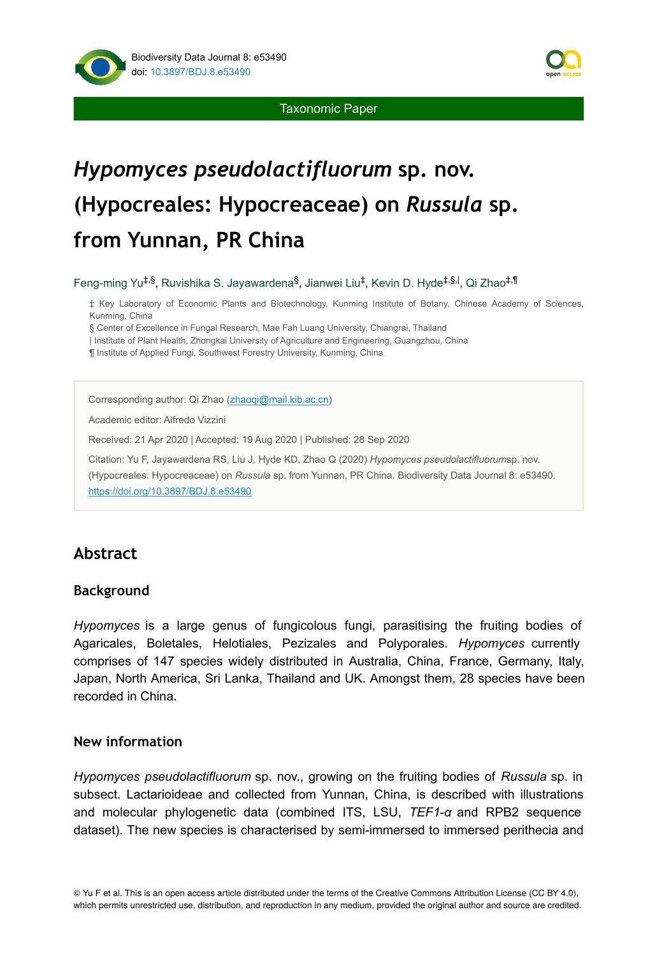

Taxonomic Paper

# *Hypomyces pseudolactifluorum* **sp. nov. (Hypocreales: Hypocreaceae) on** *Russula* **sp. from Yunnan, PR China**

Feng-ming Yu<sup>‡,§</sup>, Ruvishika S. Jayawardena<sup>§</sup>, Jianwei Liu<sup>‡</sup>, Kevin D. Hyde<sup>‡,§, I</sup>, Qi Zhao<sup>‡,¶</sup>

‡ Key Laboratory of Economic Plants and Biotechnology, Kunming Institute of Botany, Chinese Academy of Sciences, Kunming, China

§ Center of Excellence in Fungal Research, Mae Fah Luang University, Chiangrai, Thailand

| Institute of Plant Health, Zhongkai University of Agriculture and Engineering, Guangzhou, China

¶ Institute of Applied Fungi, Southwest Forestry University, Kunming, China

Corresponding author: Qi Zhao ([zhaoqi@mail.kib.ac.cn\)](mailto:zhaoqi@mail.kib.ac.cn)

Academic editor: Alfredo Vizzini

Received: 21 Apr 2020 | Accepted: 19 Aug 2020 | Published: 28 Sep 2020

Citation: Yu F, Jayawardena RS, Liu J, Hyde KD, Zhao Q (2020) *Hypomyces pseudolactifluorum*sp. nov.

(Hypocreales: Hypocreaceae) on *Russula* sp. from Yunnan, PR China. Biodiversity Data Journal 8: e53490. <https://doi.org/10.3897/BDJ.8.e53490>

# **Abstract**

## **Background**

*Hypomyces* is a large genus of fungicolous fungi, parasitising the fruiting bodies of Agaricales, Boletales, Helotiales, Pezizales and Polyporales. *Hypomyces* currently comprises of 147 species widely distributed in Australia, China, France, Germany, Italy, Japan, North America, Sri Lanka, Thailand and UK. Amongst them, 28 species have been recorded in China.

## **New information**

*Hypomyces pseudolactifluorum* sp. nov., growing on the fruiting bodies of *Russula* sp. in subsect. Lactarioideae and collected from Yunnan, China, is described with illustrations and molecular phylogenetic data (combined ITS, LSU, *TEF1*-*α* and RPB2 sequence dataset). The new species is characterised by semi-immersed to immersed perithecia and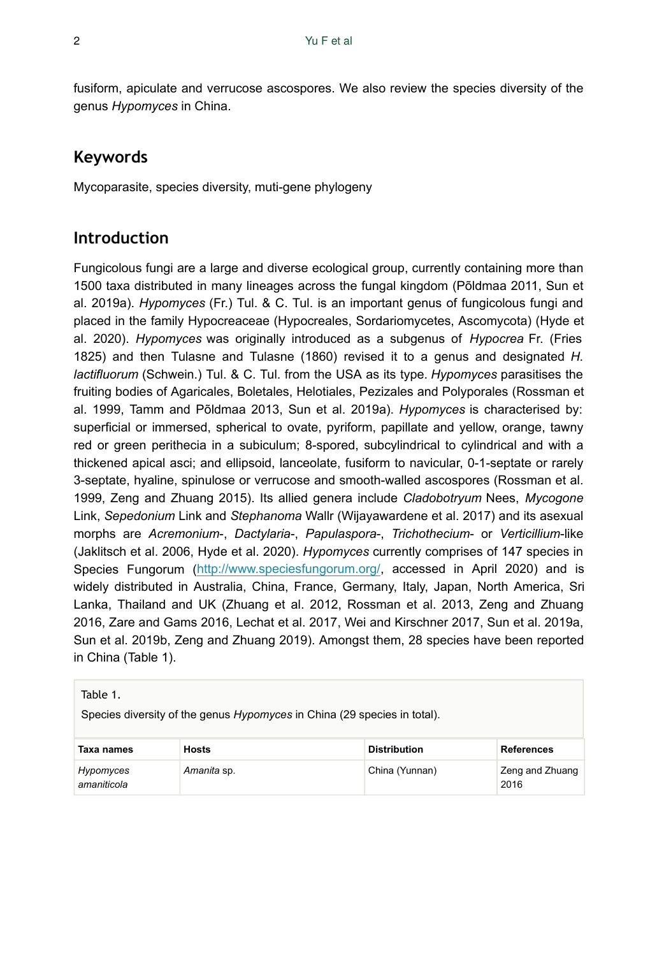fusiform, apiculate and verrucose ascospores. We also review the species diversity of the genus *Hypomyces* in China.

# **Keywords**

Mycoparasite, species diversity, muti-gene phylogeny

# **Introduction**

Fungicolous fungi are a large and diverse ecological group, currently containing more than 1500 taxa distributed in many lineages across the fungal kingdom (Põldmaa 2011, Sun et al. 2019a). *Hypomyces* (Fr.) Tul. & C. Tul. is an important genus of fungicolous fungi and placed in the family Hypocreaceae (Hypocreales, Sordariomycetes, Ascomycota) (Hyde et al. 2020). *Hypomyces* was originally introduced as a subgenus of *Hypocrea* Fr. (Fries 1825) and then Tulasne and Tulasne (1860) revised it to a genus and designated *H. lactifluorum* (Schwein.) Tul. & C. Tul. from the USA as its type. *Hypomyces* parasitises the fruiting bodies of Agaricales, Boletales, Helotiales, Pezizales and Polyporales (Rossman et al. 1999, Tamm and Põldmaa 2013, Sun et al. 2019a). *Hypomyces* is characterised by: superficial or immersed, spherical to ovate, pyriform, papillate and yellow, orange, tawny red or green perithecia in a subiculum; 8-spored, subcylindrical to cylindrical and with a thickened apical asci; and ellipsoid, lanceolate, fusiform to navicular, 0-1-septate or rarely 3-septate, hyaline, spinulose or verrucose and smooth-walled ascospores (Rossman et al. 1999, Zeng and Zhuang 2015). Its allied genera include *Cladobotryum* Nees, *Mycogone* Link, *Sepedonium* Link and *Stephanoma* Wallr (Wijayawardene et al. 2017) and its asexual morphs are *Acremonium*-, *Dactylaria*-, *Papulaspora*-, *Trichothecium*- or *Verticillium*-like (Jaklitsch et al. 2006, Hyde et al. 2020). *Hypomyces* currently comprises of 147 species in Species Fungorum [\(http://www.speciesfungorum.org/,](http://www.speciesfungorum.org/) accessed in April 2020) and is widely distributed in Australia, China, France, Germany, Italy, Japan, North America, Sri Lanka, Thailand and UK (Zhuang et al. 2012, Rossman et al. 2013, Zeng and Zhuang 2016, Zare and Gams 2016, Lechat et al. 2017, Wei and Kirschner 2017, Sun et al. 2019a, Sun et al. 2019b, Zeng and Zhuang 2019). Amongst them, 28 species have been reported in China (Table 1).

| Table 1. |  |
|----------|--|
|----------|--|

Species diversity of the genus *Hypomyces* in China (29 species in total).

| Taxa names               | <b>Hosts</b> | <b>Distribution</b> | References              |
|--------------------------|--------------|---------------------|-------------------------|
| Hypomyces<br>amaniticola | Amanita sp.  | China (Yunnan)      | Zeng and Zhuang<br>2016 |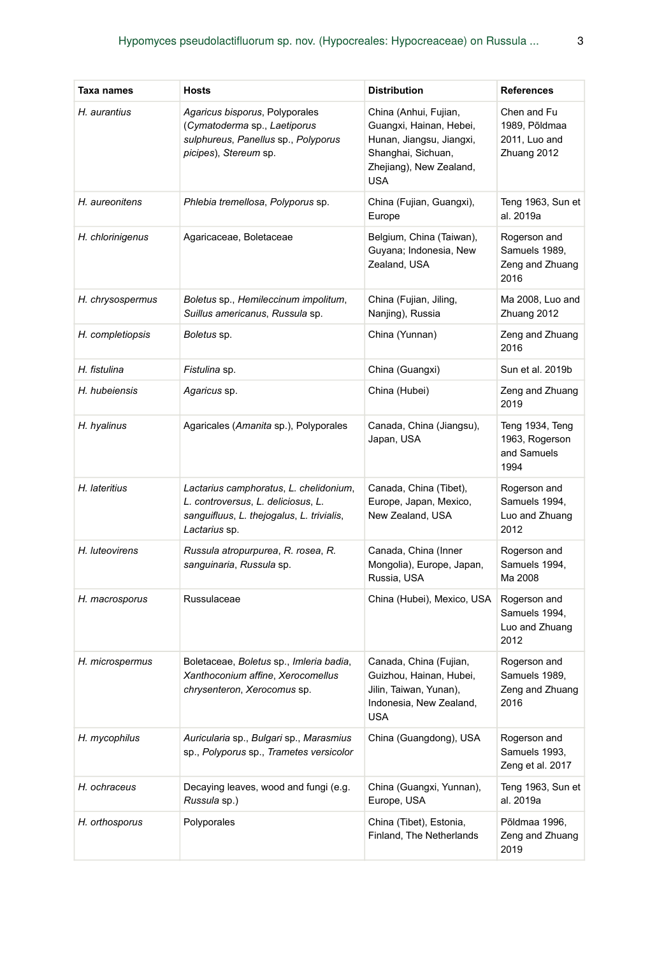| Taxa names       | Hosts                                                                                                                                             | <b>Distribution</b>                                                                                                                         | <b>References</b>                                            |
|------------------|---------------------------------------------------------------------------------------------------------------------------------------------------|---------------------------------------------------------------------------------------------------------------------------------------------|--------------------------------------------------------------|
| H. aurantius     | Agaricus bisporus, Polyporales<br>(Cymatoderma sp., Laetiporus<br>sulphureus, Panellus sp., Polyporus<br>picipes), Stereum sp.                    | China (Anhui, Fujian,<br>Guangxi, Hainan, Hebei,<br>Hunan, Jiangsu, Jiangxi,<br>Shanghai, Sichuan,<br>Zhejiang), New Zealand,<br><b>USA</b> | Chen and Fu<br>1989, Põldmaa<br>2011, Luo and<br>Zhuang 2012 |
| H. aureonitens   | Phlebia tremellosa, Polyporus sp.                                                                                                                 | China (Fujian, Guangxi),<br>Europe                                                                                                          | Teng 1963, Sun et<br>al. 2019a                               |
| H. chlorinigenus | Agaricaceae, Boletaceae                                                                                                                           | Belgium, China (Taiwan),<br>Guyana; Indonesia, New<br>Zealand, USA                                                                          | Rogerson and<br>Samuels 1989,<br>Zeng and Zhuang<br>2016     |
| H. chrysospermus | Boletus sp., Hemileccinum impolitum,<br>Suillus americanus, Russula sp.                                                                           | China (Fujian, Jiling,<br>Nanjing), Russia                                                                                                  | Ma 2008, Luo and<br>Zhuang 2012                              |
| H. completiopsis | <i>Boletus</i> sp.                                                                                                                                | China (Yunnan)                                                                                                                              | Zeng and Zhuang<br>2016                                      |
| H. fistulina     | <i>Fistulina</i> sp.                                                                                                                              | China (Guangxi)                                                                                                                             | Sun et al. 2019b                                             |
| H. hubeiensis    | <i>Agaricus</i> sp.                                                                                                                               | China (Hubei)                                                                                                                               | Zeng and Zhuang<br>2019                                      |
| H. hyalinus      | Agaricales (Amanita sp.), Polyporales                                                                                                             | Canada, China (Jiangsu),<br>Japan, USA                                                                                                      | Teng 1934, Teng<br>1963, Rogerson<br>and Samuels<br>1994     |
| H. lateritius    | Lactarius camphoratus, L. chelidonium,<br>L. controversus, L. deliciosus, L.<br>sanguifluus, L. thejogalus, L. trivialis,<br><i>Lactarius</i> sp. | Canada, China (Tibet),<br>Europe, Japan, Mexico,<br>New Zealand, USA                                                                        | Rogerson and<br>Samuels 1994,<br>Luo and Zhuang<br>2012      |
| H. luteovirens   | Russula atropurpurea, R. rosea, R.<br>sanguinaria, Russula sp.                                                                                    | Canada, China (Inner<br>Mongolia), Europe, Japan,<br>Russia, USA                                                                            | Rogerson and<br>Samuels 1994,<br>Ma 2008                     |
| H. macrosporus   | Russulaceae                                                                                                                                       | China (Hubei), Mexico, USA                                                                                                                  | Rogerson and<br>Samuels 1994,<br>Luo and Zhuang<br>2012      |
| H. microspermus  | Boletaceae, Boletus sp., Imleria badia,<br>Xanthoconium affine, Xerocomellus<br>chrysenteron, Xerocomus sp.                                       | Canada, China (Fujian,<br>Guizhou, Hainan, Hubei,<br>Jilin, Taiwan, Yunan),<br>Indonesia, New Zealand,<br>USA                               | Rogerson and<br>Samuels 1989,<br>Zeng and Zhuang<br>2016     |
| H. mycophilus    | Auricularia sp., Bulgari sp., Marasmius<br>sp., Polyporus sp., Trametes versicolor                                                                | China (Guangdong), USA                                                                                                                      | Rogerson and<br>Samuels 1993,<br>Zeng et al. 2017            |
| H. ochraceus     | Decaying leaves, wood and fungi (e.g.<br>Russula sp.)                                                                                             | China (Guangxi, Yunnan),<br>Europe, USA                                                                                                     | Teng 1963, Sun et<br>al. 2019a                               |
| H. orthosporus   | Polyporales                                                                                                                                       | China (Tibet), Estonia,<br>Finland, The Netherlands                                                                                         | Põldmaa 1996,<br>Zeng and Zhuang<br>2019                     |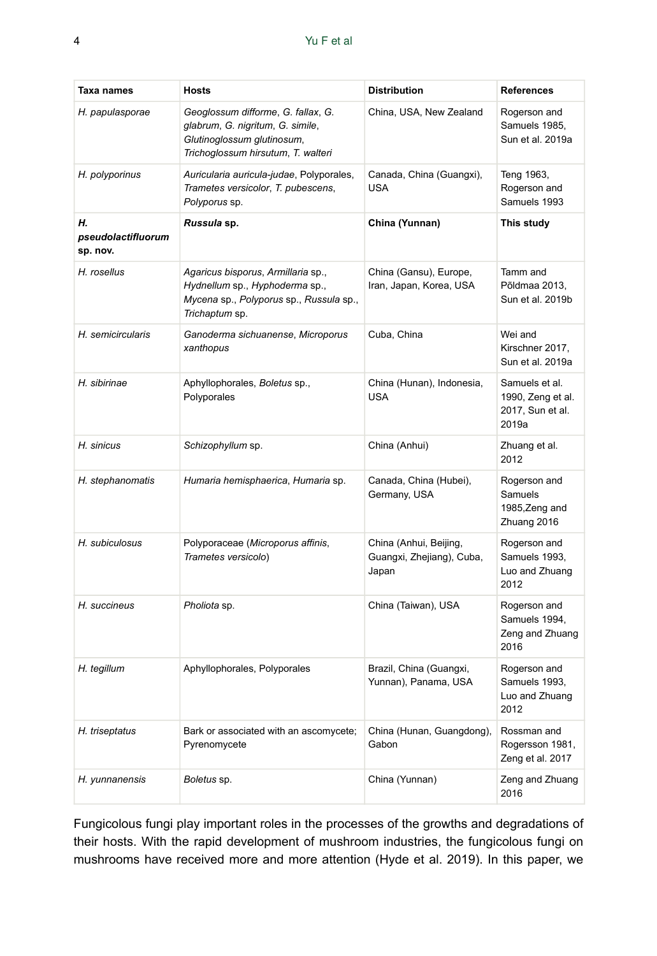| Taxa names                           | Hosts                                                                                                                                      | <b>Distribution</b>                                          | <b>References</b>                                                |
|--------------------------------------|--------------------------------------------------------------------------------------------------------------------------------------------|--------------------------------------------------------------|------------------------------------------------------------------|
| H. papulasporae                      | Geoglossum difforme, G. fallax, G.<br>glabrum, G. nigritum, G. simile,<br>Glutinoglossum glutinosum,<br>Trichoglossum hirsutum, T. walteri | China, USA, New Zealand                                      | Rogerson and<br>Samuels 1985,<br>Sun et al. 2019a                |
| H. polyporinus                       | Auricularia auricula-judae, Polyporales,<br>Trametes versicolor, T. pubescens,<br>Polyporus sp.                                            | Canada, China (Guangxi),<br><b>USA</b>                       | Teng 1963,<br>Rogerson and<br>Samuels 1993                       |
| н.<br>pseudolactifluorum<br>sp. nov. | Russula sp.                                                                                                                                | China (Yunnan)                                               | This study                                                       |
| H. rosellus                          | Agaricus bisporus, Armillaria sp.,<br>Hydnellum sp., Hyphoderma sp.,<br>Mycena sp., Polyporus sp., Russula sp.,<br>Trichaptum sp.          | China (Gansu), Europe,<br>Iran, Japan, Korea, USA            | Tamm and<br>Põldmaa 2013,<br>Sun et al. 2019b                    |
| H. semicircularis                    | Ganoderma sichuanense, Microporus<br>xanthopus                                                                                             | Cuba, China                                                  | Wei and<br>Kirschner 2017,<br>Sun et al. 2019a                   |
| H. sibirinae                         | Aphyllophorales, Boletus sp.,<br>Polyporales                                                                                               | China (Hunan), Indonesia,<br><b>USA</b>                      | Samuels et al.<br>1990, Zeng et al.<br>2017, Sun et al.<br>2019a |
| H. sinicus                           | Schizophyllum sp.                                                                                                                          | China (Anhui)                                                | Zhuang et al.<br>2012                                            |
| H. stephanomatis                     | Humaria hemisphaerica, Humaria sp.                                                                                                         | Canada, China (Hubei),<br>Germany, USA                       | Rogerson and<br>Samuels<br>1985, Zeng and<br>Zhuang 2016         |
| H. subiculosus                       | Polyporaceae (Microporus affinis,<br>Trametes versicolo)                                                                                   | China (Anhui, Beijing,<br>Guangxi, Zhejiang), Cuba,<br>Japan | Rogerson and<br>Samuels 1993,<br>Luo and Zhuang<br>2012          |
| H. succineus                         | Pholiota sp.                                                                                                                               | China (Taiwan), USA                                          | Rogerson and<br>Samuels 1994,<br>Zeng and Zhuang<br>2016         |
| H. tegillum                          | Aphyllophorales, Polyporales                                                                                                               | Brazil, China (Guangxi,<br>Yunnan), Panama, USA              | Rogerson and<br>Samuels 1993,<br>Luo and Zhuang<br>2012          |
| H. triseptatus                       | Bark or associated with an ascomycete;<br>Pyrenomycete                                                                                     | China (Hunan, Guangdong),<br>Gabon                           | Rossman and<br>Rogersson 1981,<br>Zeng et al. 2017               |
| H. yunnanensis                       | Boletus sp.                                                                                                                                | China (Yunnan)                                               | Zeng and Zhuang<br>2016                                          |

Fungicolous fungi play important roles in the processes of the growths and degradations of their hosts. With the rapid development of mushroom industries, the fungicolous fungi on mushrooms have received more and more attention (Hyde et al. 2019). In this paper, we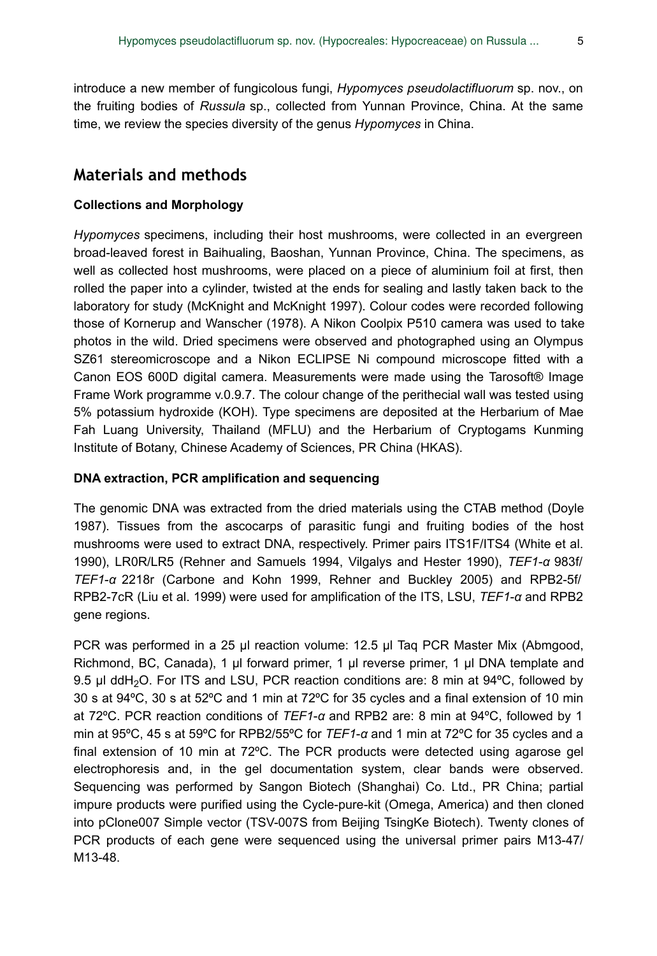introduce a new member of fungicolous fungi, *Hypomyces pseudolactifluorum* sp. nov., on the fruiting bodies of *Russula* sp., collected from Yunnan Province, China. At the same time, we review the species diversity of the genus *Hypomyces* in China.

# **Materials and methods**

### **Collections and Morphology**

*Hypomyces* specimens, including their host mushrooms, were collected in an evergreen broad-leaved forest in Baihualing, Baoshan, Yunnan Province, China. The specimens, as well as collected host mushrooms, were placed on a piece of aluminium foil at first, then rolled the paper into a cylinder, twisted at the ends for sealing and lastly taken back to the laboratory for study (McKnight and McKnight 1997). Colour codes were recorded following those of Kornerup and Wanscher (1978). A Nikon Coolpix P510 camera was used to take photos in the wild. Dried specimens were observed and photographed using an Olympus SZ61 stereomicroscope and a Nikon ECLIPSE Ni compound microscope fitted with a Canon EOS 600D digital camera. Measurements were made using the Tarosoft® Image Frame Work programme v.0.9.7. The colour change of the perithecial wall was tested using 5% potassium hydroxide (KOH). Type specimens are deposited at the Herbarium of Mae Fah Luang University, Thailand (MFLU) and the Herbarium of Cryptogams Kunming Institute of Botany, Chinese Academy of Sciences, PR China (HKAS).

#### **DNA extraction, PCR amplification and sequencing**

The genomic DNA was extracted from the dried materials using the CTAB method (Doyle 1987). Tissues from the ascocarps of parasitic fungi and fruiting bodies of the host mushrooms were used to extract DNA, respectively. Primer pairs ITS1F/ITS4 (White et al. 1990), LR0R/LR5 (Rehner and Samuels 1994, Vilgalys and Hester 1990), *TEF1*-*α* 983f/ *TEF1*-*α* 2218r (Carbone and Kohn 1999, Rehner and Buckley 2005) and RPB2-5f/ RPB2-7cR (Liu et al. 1999) were used for amplification of the ITS, LSU, *TEF1*-*α* and RPB2 gene regions.

PCR was performed in a 25 μl reaction volume: 12.5 μl Taq PCR Master Mix (Abmgood, Richmond, BC, Canada), 1 μl forward primer, 1 μl reverse primer, 1 μl DNA template and 9.5 µl ddH<sub>2</sub>O. For ITS and LSU, PCR reaction conditions are: 8 min at 94°C, followed by 30 s at 94ºC, 30 s at 52ºC and 1 min at 72ºC for 35 cycles and a final extension of 10 min at 72ºC. PCR reaction conditions of *TEF1*-*α* and RPB2 are: 8 min at 94ºC, followed by 1 min at 95ºC, 45 s at 59ºC for RPB2/55ºC for *TEF1*-*α* and 1 min at 72ºC for 35 cycles and a final extension of 10 min at 72ºC. The PCR products were detected using agarose gel electrophoresis and, in the gel documentation system, clear bands were observed. Sequencing was performed by Sangon Biotech (Shanghai) Co. Ltd., PR China; partial impure products were purified using the Cycle-pure-kit (Omega, America) and then cloned into pClone007 Simple vector (TSV-007S from Beijing TsingKe Biotech). Twenty clones of PCR products of each gene were sequenced using the universal primer pairs M13-47/ M13-48.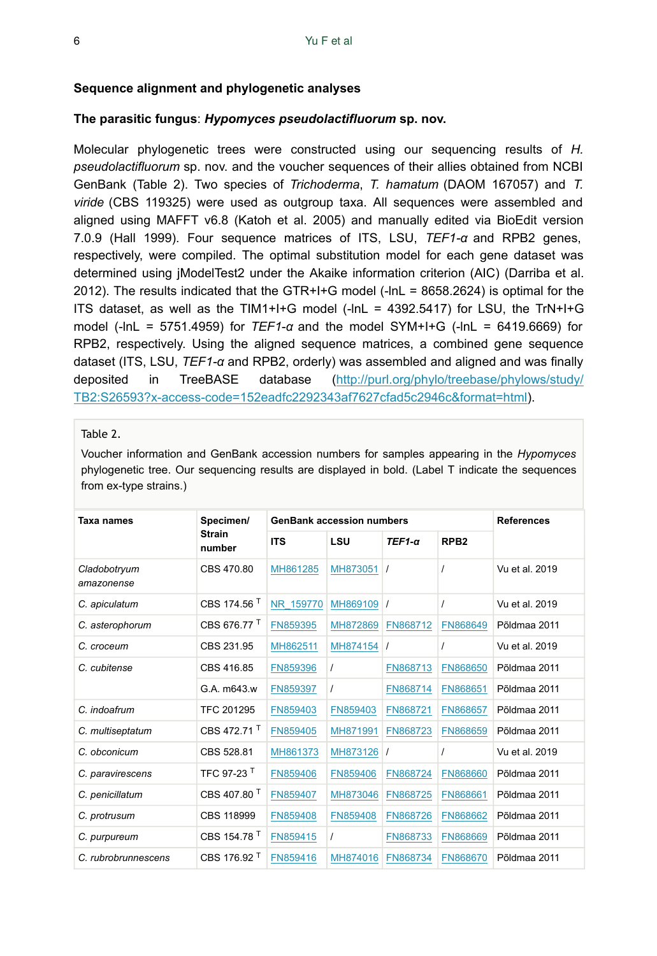#### **Sequence alignment and phylogenetic analyses**

#### **The parasitic fungus**: *Hypomyces pseudolactifluorum* **sp. nov.**

Molecular phylogenetic trees were constructed using our sequencing results of *H. pseudolactifluorum* sp. nov. and the voucher sequences of their allies obtained from NCBI GenBank (Table 2). Two species of *Trichoderma*, *T. hamatum* (DAOM 167057) and *T. viride* (CBS 119325) were used as outgroup taxa. All sequences were assembled and aligned using MAFFT v6.8 (Katoh et al. 2005) and manually edited via BioEdit version 7.0.9 (Hall 1999). Four sequence matrices of ITS, LSU, *TEF1-α* and RPB2 genes, respectively, were compiled. The optimal substitution model for each gene dataset was determined using jModelTest2 under the Akaike information criterion (AIC) (Darriba et al. 2012). The results indicated that the GTR+I+G model (-lnL = 8658.2624) is optimal for the ITS dataset, as well as the TIM1+I+G model  $(-lnL = 4392.5417)$  for LSU, the TrN+I+G model (-lnL = 5751.4959) for *TEF1*-*α* and the model SYM+I+G (-lnL = 6419.6669) for RPB2, respectively. Using the aligned sequence matrices, a combined gene sequence dataset (ITS, LSU, *TEF1-α* and RPB2, orderly) was assembled and aligned and was finally deposited in TreeBASE database [\(http://purl.org/phylo/treebase/phylows/study/](http://purl.org/phylo/treebase/phylows/study/TB2:S26593?x-access-code=152eadfc2292343af7627cfad5c2946c&format=html) [TB2:S26593?x-access-code=152eadfc2292343af7627cfad5c2946c&format=html](http://purl.org/phylo/treebase/phylows/study/TB2:S26593?x-access-code=152eadfc2292343af7627cfad5c2946c&format=html)).

#### Table 2.

Voucher information and GenBank accession numbers for samples appearing in the *Hypomyces* phylogenetic tree. Our sequencing results are displayed in bold. (Label T indicate the sequences from ex-type strains.)

| Taxa names                 | Specimen/               | <b>GenBank accession numbers</b> |            |          |                  | <b>References</b> |
|----------------------------|-------------------------|----------------------------------|------------|----------|------------------|-------------------|
|                            | <b>Strain</b><br>number | <b>ITS</b>                       | LSU        | $TEF1-a$ | RPB <sub>2</sub> |                   |
| Cladobotryum<br>amazonense | CBS 470.80              | MH861285                         | MH873051   |          | $\prime$         | Vu et al. 2019    |
| C. apiculatum              | CBS 174.56 <sup>T</sup> | NR 159770                        | MH869109   | $\prime$ | $\prime$         | Vu et al. 2019    |
| C. asterophorum            | CBS 676.77              | FN859395                         | MH872869   | FN868712 | FN868649         | Põldmaa 2011      |
| C. croceum                 | CBS 231.95              | MH862511                         | MH874154 / |          | $\prime$         | Vu et al. 2019    |
| C. cubitense               | CBS 416.85              | FN859396                         |            | FN868713 | FN868650         | Põldmaa 2011      |
|                            | G.A. m643.w             | FN859397                         | $\prime$   | FN868714 | FN868651         | Põldmaa 2011      |
| C. indoafrum               | TFC 201295              | FN859403                         | FN859403   | FN868721 | FN868657         | Põldmaa 2011      |
| C. multiseptatum           | CBS 472.71 <sup>T</sup> | FN859405                         | MH871991   | FN868723 | FN868659         | Põldmaa 2011      |
| C. obconicum               | CBS 528.81              | MH861373                         | MH873126   |          | $\prime$         | Vu et al. 2019    |
| C. paravirescens           | TFC 97-23 T             | FN859406                         | FN859406   | FN868724 | FN868660         | Põldmaa 2011      |
| C. penicillatum            | CBS 407.80 <sup>T</sup> | FN859407                         | MH873046   | FN868725 | FN868661         | Põldmaa 2011      |
| C. protrusum               | CBS 118999              | FN859408                         | FN859408   | FN868726 | FN868662         | Põldmaa 2011      |
| C. purpureum               | CBS 154.78 <sup>T</sup> | FN859415                         |            | FN868733 | FN868669         | Põldmaa 2011      |
| C. rubrobrunnescens        | CBS 176.92 <sup>T</sup> | FN859416                         | MH874016   | FN868734 | FN868670         | Põldmaa 2011      |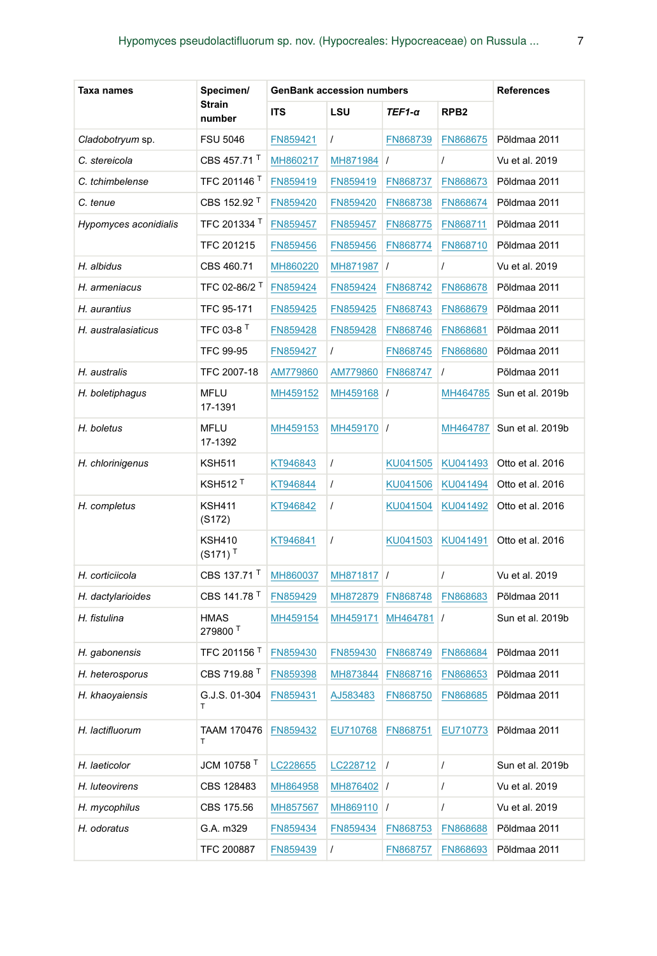| Taxa names            | Specimen/                              | <b>GenBank accession numbers</b> |            |           |                  | <b>References</b> |
|-----------------------|----------------------------------------|----------------------------------|------------|-----------|------------------|-------------------|
|                       | <b>Strain</b><br>number                | ITS                              | LSU        | TEF1-α    | RPB <sub>2</sub> |                   |
| Cladobotryum sp.      | FSU 5046                               | FN859421                         | $\prime$   | FN868739  | FN868675         | Põldmaa 2011      |
| C. stereicola         | CBS 457.71                             | MH860217                         | MH871984 / |           | $\prime$         | Vu et al. 2019    |
| C. tchimbelense       | TFC 201146 <sup>1</sup>                | FN859419                         | FN859419   | FN868737  | FN868673         | Põldmaa 2011      |
| C. tenue              | CBS 152.92 <sup>T</sup>                | FN859420                         | FN859420   | FN868738  | FN868674         | Põldmaa 2011      |
| Hypomyces aconidialis | TFC 201334                             | FN859457                         | FN859457   | FN868775  | FN868711         | Põldmaa 2011      |
|                       | TFC 201215                             | FN859456                         | FN859456   | FN868774  | FN868710         | Põldmaa 2011      |
| H. albidus            | CBS 460.71                             | MH860220                         | MH871987   | $\prime$  | $\prime$         | Vu et al. 2019    |
| H. armeniacus         | TFC 02-86/2                            | FN859424                         | FN859424   | FN868742  | FN868678         | Põldmaa 2011      |
| H. aurantius          | TFC 95-171                             | FN859425                         | FN859425   | FN868743  | FN868679         | Põldmaa 2011      |
| H. australasiaticus   | TFC 03-8 T                             | FN859428                         | FN859428   | FN868746  | FN868681         | Põldmaa 2011      |
|                       | <b>TFC 99-95</b>                       | FN859427                         | $\prime$   | FN868745  | FN868680         | Põldmaa 2011      |
| H. australis          | TFC 2007-18                            | AM779860                         | AM779860   | FN868747  | $\prime$         | Põldmaa 2011      |
| H. boletiphagus       | <b>MFLU</b><br>17-1391                 | MH459152                         | MH459168 / |           | MH464785         | Sun et al. 2019b  |
| H. boletus            | MFLU<br>17-1392                        | MH459153                         | MH459170 / |           | MH464787         | Sun et al. 2019b  |
| H. chlorinigenus      | <b>KSH511</b>                          | KT946843                         | $\prime$   | KU041505  | KU041493         | Otto et al. 2016  |
|                       | $KSH512$ <sup>T</sup>                  | KT946844                         | $\prime$   | KU041506  | KU041494         | Otto et al. 2016  |
| H. completus          | <b>KSH411</b><br>(S172)                | KT946842                         | $\prime$   | KU041504  | KU041492         | Otto et al. 2016  |
|                       | <b>KSH410</b><br>$(S171)$ <sup>T</sup> | KT946841                         | $\prime$   | KU041503  | KU041491         | Otto et al. 2016  |
| H. corticiicola       | CBS 137.71 <sup>T</sup>                | MH860037                         | MH871817 / |           | $\prime$         | Vu et al. 2019    |
| H. dactylarioides     | CBS 141.78 <sup>1</sup>                | FN859429                         | MH872879   | FN868748  | FN868683         | Põldmaa 2011      |
| H. fistulina          | <b>HMAS</b><br>279800 <sup>T</sup>     | MH459154                         | MH459171   | MH464781  | $\prime$         | Sun et al. 2019b  |
| H. gabonensis         | TFC 201156 <sup>T</sup>                | FN859430                         | FN859430   | FN868749  | FN868684         | Põldmaa 2011      |
| H. heterosporus       | CBS 719.88 <sup>T</sup>                | FN859398                         | MH873844   | FN868716  | FN868653         | Põldmaa 2011      |
| H. khaoyaiensis       | G.J.S. 01-304                          | FN859431                         | AJ583483   | FN868750  | FN868685         | Põldmaa 2011      |
| H. lactifluorum       | <b>TAAM 170476</b><br>т                | FN859432                         | EU710768   | FN868751  | EU710773         | Põldmaa 2011      |
| H. laeticolor         | JCM 10758 <sup>T</sup>                 | LC228655                         | LC228712   | $\vert$ / | T                | Sun et al. 2019b  |
| H. luteovirens        | CBS 128483                             | MH864958                         | MH876402 / |           | T                | Vu et al. 2019    |
| H. mycophilus         | CBS 175.56                             | MH857567                         | MH869110 / |           | $\prime$         | Vu et al. 2019    |
| H. odoratus           | G.A. m329                              | FN859434                         | FN859434   | FN868753  | FN868688         | Põldmaa 2011      |
|                       | TFC 200887                             | FN859439                         | $\prime$   | FN868757  | FN868693         | Põldmaa 2011      |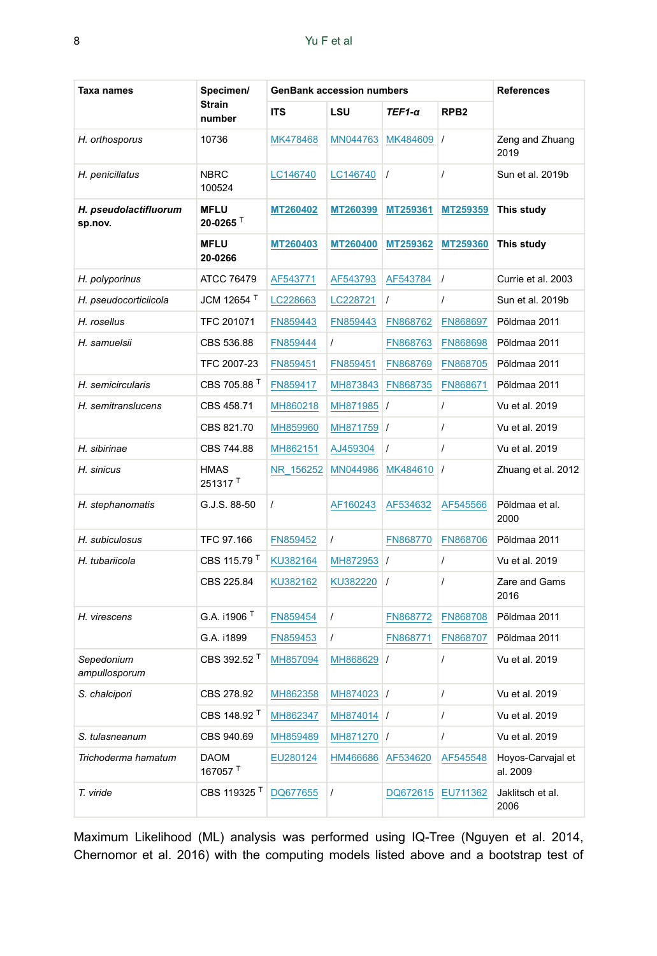| Taxa names                       | Specimen/                          | <b>GenBank accession numbers</b> |            |               |                  | <b>References</b>             |
|----------------------------------|------------------------------------|----------------------------------|------------|---------------|------------------|-------------------------------|
|                                  | <b>Strain</b><br>number            | <b>ITS</b>                       | LSU        | $TEF1-\alpha$ | RPB <sub>2</sub> |                               |
| H. orthosporus                   | 10736                              | MK478468                         | MN044763   | MK484609      | $\prime$         | Zeng and Zhuang<br>2019       |
| H. penicillatus                  | <b>NBRC</b><br>100524              | LC146740                         | LC146740   | $\prime$      | $\prime$         | Sun et al. 2019b              |
| H. pseudolactifluorum<br>sp.nov. | <b>MFLU</b><br>$20 - 0265$         | MT260402                         | MT260399   | MT259361      | MT259359         | This study                    |
|                                  | <b>MFLU</b><br>20-0266             | MT260403                         | MT260400   | MT259362      | MT259360         | This study                    |
| H. polyporinus                   | ATCC 76479                         | AF543771                         | AF543793   | AF543784      | $\prime$         | Currie et al. 2003            |
| H. pseudocorticiicola            | JCM 12654 <sup>T</sup>             | LC228663                         | LC228721   | T             | $\prime$         | Sun et al. 2019b              |
| H. rosellus                      | TFC 201071                         | FN859443                         | FN859443   | FN868762      | FN868697         | Põldmaa 2011                  |
| H. samuelsii                     | CBS 536.88                         | FN859444                         | $\prime$   | FN868763      | FN868698         | Põldmaa 2011                  |
|                                  | TFC 2007-23                        | FN859451                         | FN859451   | FN868769      | FN868705         | Põldmaa 2011                  |
| H. semicircularis                | CBS 705.88 <sup>T</sup>            | FN859417                         | MH873843   | FN868735      | FN868671         | Põldmaa 2011                  |
| H. semitranslucens               | CBS 458.71                         | MH860218                         | MH871985 / |               | $\overline{I}$   | Vu et al. 2019                |
|                                  | CBS 821.70                         | MH859960                         | MH871759 / |               | $\prime$         | Vu et al. 2019                |
| H. sibirinae                     | CBS 744.88                         | MH862151                         | AJ459304   | $\prime$      | $\prime$         | Vu et al. 2019                |
| H. sinicus                       | <b>HMAS</b><br>251317 <sup>T</sup> | NR 156252                        | MN044986   | MK484610      | $\prime$         | Zhuang et al. 2012            |
| H. stephanomatis                 | G.J.S. 88-50                       | $\prime$                         | AF160243   | AF534632      | AF545566         | Põldmaa et al.<br>2000        |
| H. subiculosus                   | TFC 97.166                         | FN859452                         | $\prime$   | FN868770      | FN868706         | Põldmaa 2011                  |
| H. tubariicola                   | CBS 115.79 <sup>T</sup>            | KU382164                         | MH872953   | $\prime$      | $\prime$         | Vu et al. 2019                |
|                                  | CBS 225.84                         | KU382162                         | KU382220   | $\prime$      | $\overline{I}$   | Zare and Gams<br>2016         |
| H. virescens                     | G.A. i1906 <sup>T</sup>            | FN859454                         | $\prime$   | FN868772      | FN868708         | Põldmaa 2011                  |
|                                  | G.A. i1899                         | FN859453                         | $\prime$   | FN868771      | FN868707         | Põldmaa 2011                  |
| Sepedonium<br>ampullosporum      | CBS 392.52 <sup>T</sup>            | MH857094                         | MH868629   | $\prime$      | $\overline{I}$   | Vu et al. 2019                |
| S. chalcipori                    | CBS 278.92                         | MH862358                         | MH874023 / |               | $\overline{I}$   | Vu et al. 2019                |
|                                  | CBS 148.92 <sup>T</sup>            | MH862347                         | MH874014 / |               | $\prime$         | Vu et al. 2019                |
| S. tulasneanum                   | CBS 940.69                         | MH859489                         | MH871270 / |               | $\overline{I}$   | Vu et al. 2019                |
| Trichoderma hamatum              | <b>DAOM</b><br>167057 <sup>T</sup> | EU280124                         | HM466686   | AF534620      | AF545548         | Hoyos-Carvajal et<br>al. 2009 |
| T. viride                        | CBS 119325 <sup>T</sup>            | DQ677655                         | $\prime$   | DQ672615      | EU711362         | Jaklitsch et al.<br>2006      |

Maximum Likelihood (ML) analysis was performed using IQ-Tree (Nguyen et al. 2014, Chernomor et al. 2016) with the computing models listed above and a bootstrap test of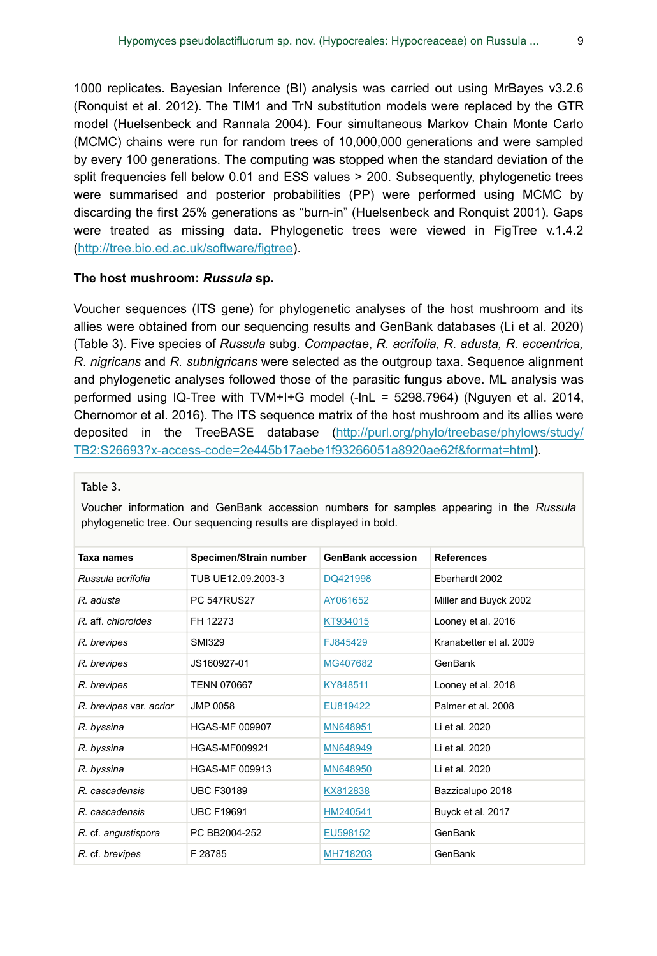1000 replicates. Bayesian Inference (BI) analysis was carried out using MrBayes v3.2.6 (Ronquist et al. 2012). The TIM1 and TrN substitution models were replaced by the GTR model (Huelsenbeck and Rannala 2004). Four simultaneous Markov Chain Monte Carlo (MCMC) chains were run for random trees of 10,000,000 generations and were sampled by every 100 generations. The computing was stopped when the standard deviation of the split frequencies fell below 0.01 and ESS values > 200. Subsequently, phylogenetic trees were summarised and posterior probabilities (PP) were performed using MCMC by discarding the first 25% generations as "burn-in" (Huelsenbeck and Ronquist 2001). Gaps were treated as missing data. Phylogenetic trees were viewed in FigTree v.1.4.2 [\(http://tree.bio.ed.ac.uk/software/figtree\)](http://tree.bio.ed.ac.uk/software/figtree/).

#### **The host mushroom:** *Russula* **sp.**

Voucher sequences (ITS gene) for phylogenetic analyses of the host mushroom and its allies were obtained from our sequencing results and GenBank databases (Li et al. 2020) (Table 3). Five species of *Russula* subg. *Compactae*, *R. acrifolia, R*. *adusta, R*. *eccentrica, R*. *nigricans* and *R. subnigricans* were selected as the outgroup taxa. Sequence alignment and phylogenetic analyses followed those of the parasitic fungus above. ML analysis was performed using IQ-Tree with TVM+I+G model (-lnL = 5298.7964) (Nguyen et al. 2014, Chernomor et al. 2016). The ITS sequence matrix of the host mushroom and its allies were deposited in the TreeBASE database [\(http://purl.org/phylo/treebase/phylows/study/](http://purl.org/phylo/treebase/phylows/study/TB2:S26693?x-access-code=2e445b17aebe1f93266051a8920ae62f&format=html) [TB2:S26693?x-access-code=2e445b17aebe1f93266051a8920ae62f&format=html\)](http://purl.org/phylo/treebase/phylows/study/TB2:S26693?x-access-code=2e445b17aebe1f93266051a8920ae62f&format=html).

#### Table 3.

Voucher information and GenBank accession numbers for samples appearing in the *Russula* phylogenetic tree. Our sequencing results are displayed in bold.

| Taxa names              | Specimen/Strain number | <b>GenBank accession</b> | <b>References</b>       |
|-------------------------|------------------------|--------------------------|-------------------------|
| Russula acrifolia       | TUB UE12.09.2003-3     | DQ421998                 | Eberhardt 2002          |
| R. adusta               | <b>PC 547RUS27</b>     | AY061652                 | Miller and Buyck 2002   |
| R aff chloroides        | FH 12273               | KT934015                 | Looney et al. 2016      |
| R. brevipes             | SMI329                 | FJ845429                 | Kranabetter et al. 2009 |
| R. brevipes             | JS160927-01            | MG407682                 | GenBank                 |
| R. brevipes             | <b>TENN 070667</b>     | KY848511                 | Looney et al. 2018      |
| R. brevipes var. acrior | JMP 0058               | EU819422                 | Palmer et al. 2008      |
| R. byssina              | <b>HGAS-MF 009907</b>  | MN648951                 | Li et al. 2020          |
| R. byssina              | <b>HGAS-MF009921</b>   | MN648949                 | Li et al. 2020          |
| R. byssina              | <b>HGAS-MF 009913</b>  | MN648950                 | Li et al. 2020          |
| R. cascadensis          | <b>UBC F30189</b>      | KX812838                 | Bazzicalupo 2018        |
| R. cascadensis          | <b>UBC F19691</b>      | HM240541                 | Buyck et al. 2017       |
| R. cf. angustispora     | PC BB2004-252          | EU598152                 | GenBank                 |
| R. cf. brevipes         | F 28785                | MH718203                 | GenBank                 |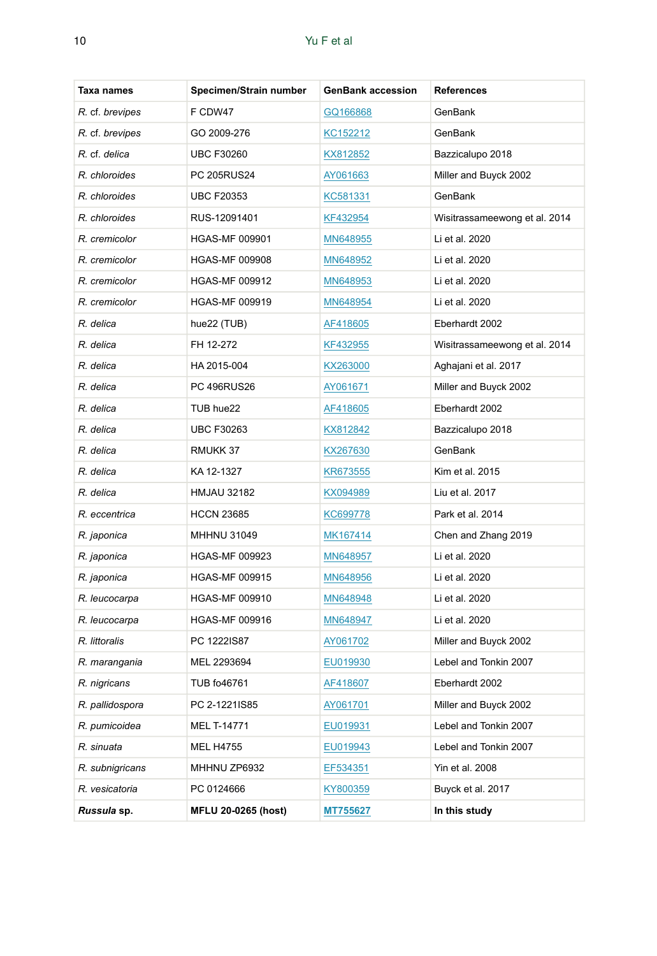| Taxa names      | Specimen/Strain number | <b>GenBank accession</b> | References                    |
|-----------------|------------------------|--------------------------|-------------------------------|
| R. cf. brevipes | F CDW47                | GQ166868                 | GenBank                       |
| R. cf. brevipes | GO 2009-276            | KC152212                 | GenBank                       |
| R. cf. delica   | <b>UBC F30260</b>      | KX812852                 | Bazzicalupo 2018              |
| R. chloroides   | PC 205RUS24            | AY061663                 | Miller and Buyck 2002         |
| R. chloroides   | <b>UBC F20353</b>      | KC581331                 | GenBank                       |
| R. chloroides   | RUS-12091401           | KF432954                 | Wisitrassameewong et al. 2014 |
| R. cremicolor   | <b>HGAS-MF 009901</b>  | MN648955                 | Li et al. 2020                |
| R. cremicolor   | <b>HGAS-MF 009908</b>  | MN648952                 | Li et al. 2020                |
| R. cremicolor   | <b>HGAS-MF 009912</b>  | MN648953                 | Li et al. 2020                |
| R. cremicolor   | <b>HGAS-MF 009919</b>  | MN648954                 | Li et al. 2020                |
| R. delica       | hue22 (TUB)            | AF418605                 | Eberhardt 2002                |
| R. delica       | FH 12-272              | KF432955                 | Wisitrassameewong et al. 2014 |
| R. delica       | HA 2015-004            | KX263000                 | Aghajani et al. 2017          |
| R. delica       | PC 496RUS26            | AY061671                 | Miller and Buyck 2002         |
| R. delica       | TUB hue22              | AF418605                 | Eberhardt 2002                |
| R. delica       | <b>UBC F30263</b>      | KX812842                 | Bazzicalupo 2018              |
| R. delica       | RMUKK 37               | KX267630                 | GenBank                       |
| R. delica       | KA 12-1327             | KR673555                 | Kim et al. 2015               |
| R. delica       | <b>HMJAU 32182</b>     | KX094989                 | Liu et al. 2017               |
| R. eccentrica   | <b>HCCN 23685</b>      | KC699778                 | Park et al. 2014              |
| R. japonica     | <b>MHHNU 31049</b>     | MK167414                 | Chen and Zhang 2019           |
| R. japonica     | <b>HGAS-MF 009923</b>  | MN648957                 | Li et al. 2020                |
| R. japonica     | <b>HGAS-MF 009915</b>  | MN648956                 | Li et al. 2020                |
| R. leucocarpa   | <b>HGAS-MF 009910</b>  | MN648948                 | Li et al. 2020                |
| R. leucocarpa   | <b>HGAS-MF 009916</b>  | MN648947                 | Li et al. 2020                |
| R. littoralis   | PC 1222IS87            | AY061702                 | Miller and Buyck 2002         |
| R. marangania   | MEL 2293694            | EU019930                 | Lebel and Tonkin 2007         |
| R. nigricans    | TUB fo46761            | AF418607                 | Eberhardt 2002                |
| R. pallidospora | PC 2-1221IS85          | AY061701                 | Miller and Buyck 2002         |
| R. pumicoidea   | MEL T-14771            | EU019931                 | Lebel and Tonkin 2007         |
| R. sinuata      | MEL H4755              | EU019943                 | Lebel and Tonkin 2007         |
| R. subnigricans | MHHNU ZP6932           | EF534351                 | Yin et al. 2008               |
| R. vesicatoria  | PC 0124666             | KY800359                 | Buyck et al. 2017             |
| Russula sp.     | MFLU 20-0265 (host)    | MT755627                 | In this study                 |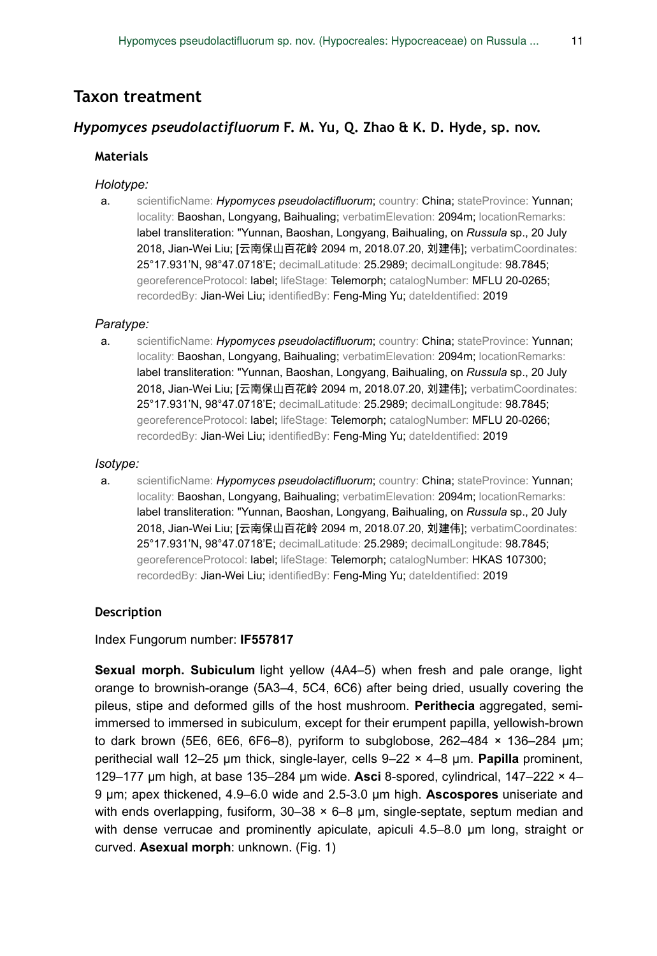# **Taxon treatment**

## *Hypomyces pseudolactifluorum* **F. M. Yu, Q. Zhao & K. D. Hyde, sp. nov.**

## **Materials**

#### *Holotype:*

a. scientificName: *Hypomyces pseudolactifluorum*; country: China; stateProvince: Yunnan; locality: Baoshan, Longyang, Baihualing; verbatimElevation: 2094m; locationRemarks: label transliteration: "Yunnan, Baoshan, Longyang, Baihualing, on *Russula* sp., 20 July 2018, Jian-Wei Liu; [云南保山百花岭 2094 m, 2018.07.20, 刘建伟]; verbatimCoordinates: 25°17.931'N, 98°47.0718'E; decimalLatitude: 25.2989; decimalLongitude: 98.7845; georeferenceProtocol: label; lifeStage: Telemorph; catalogNumber: MFLU 20-0265; recordedBy: Jian-Wei Liu; identifiedBy: Feng-Ming Yu; dateIdentified: 2019

#### *Paratype:*

a. scientificName: *Hypomyces pseudolactifluorum*; country: China; stateProvince: Yunnan; locality: Baoshan, Longyang, Baihualing; verbatimElevation: 2094m; locationRemarks: label transliteration: "Yunnan, Baoshan, Longyang, Baihualing, on *Russula* sp., 20 July 2018, Jian-Wei Liu; [云南保山百花岭 2094 m, 2018.07.20, 刘建伟]; verbatimCoordinates: 25°17.931'N, 98°47.0718'E; decimalLatitude: 25.2989; decimalLongitude: 98.7845; georeferenceProtocol: label; lifeStage: Telemorph; catalogNumber: MFLU 20-0266; recordedBy: Jian-Wei Liu; identifiedBy: Feng-Ming Yu; dateIdentified: 2019

#### *Isotype:*

a. scientificName: *Hypomyces pseudolactifluorum*; country: China; stateProvince: Yunnan; locality: Baoshan, Longyang, Baihualing; verbatimElevation: 2094m; locationRemarks: label transliteration: "Yunnan, Baoshan, Longyang, Baihualing, on *Russula* sp., 20 July 2018, Jian-Wei Liu; [云南保山百花岭 2094 m, 2018.07.20, 刘建伟]; verbatimCoordinates: 25°17.931'N, 98°47.0718'E; decimalLatitude: 25.2989; decimalLongitude: 98.7845; georeferenceProtocol: label; lifeStage: Telemorph; catalogNumber: HKAS 107300; recordedBy: Jian-Wei Liu; identifiedBy: Feng-Ming Yu; dateIdentified: 2019

## **Description**

Index Fungorum number: **IF557817**

**Sexual morph. Subiculum** light yellow (4A4–5) when fresh and pale orange, light orange to brownish-orange (5A3–4, 5C4, 6C6) after being dried, usually covering the pileus, stipe and deformed gills of the host mushroom. **Perithecia** aggregated, semiimmersed to immersed in subiculum, except for their erumpent papilla, yellowish-brown to dark brown (5E6, 6E6, 6F6–8), pyriform to subglobose,  $262-484 \times 136-284$  µm; perithecial wall 12–25 μm thick, single-layer, cells 9–22 × 4–8 μm. **Papilla** prominent, 129–177 μm high, at base 135–284 μm wide. **Asci** 8-spored, cylindrical, 147–222 × 4– 9 μm; apex thickened, 4.9–6.0 wide and 2.5-3.0 μm high. **Ascospores** uniseriate and with ends overlapping, fusiform,  $30-38 \times 6-8$  µm, single-septate, septum median and with dense verrucae and prominently apiculate, apiculi 4.5–8.0 μm long, straight or curved. **Asexual morph**: unknown. (Fig. 1)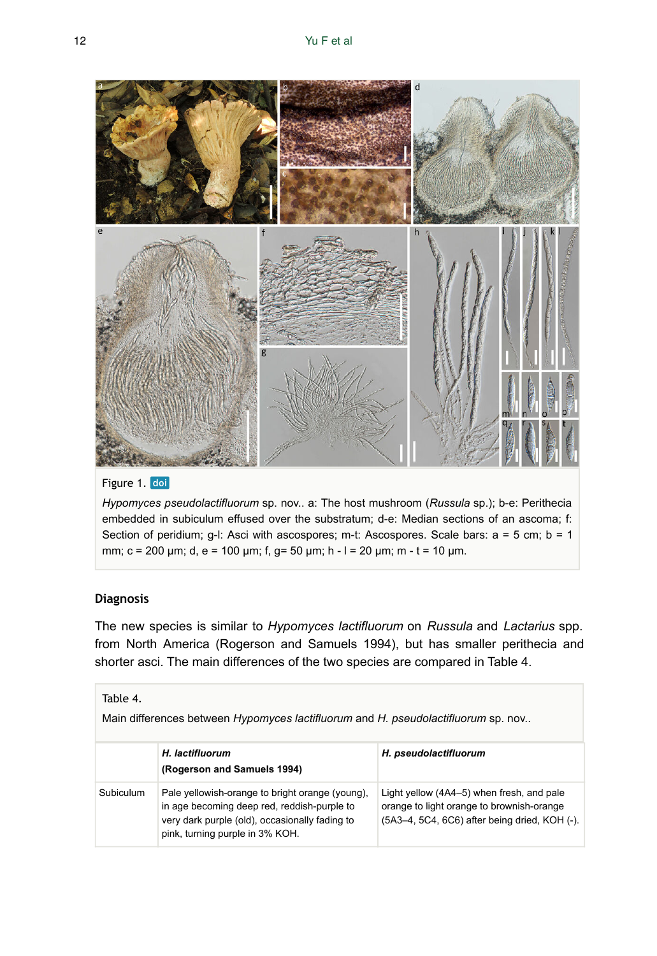

## Figure 1. doi

*Hypomyces pseudolactifluorum* sp. nov.. a: The host mushroom (*Russula* sp.); b-e: Perithecia embedded in subiculum effused over the substratum; d-e: Median sections of an ascoma; f: Section of peridium; g-l: Asci with ascospores; m-t: Ascospores. Scale bars: a = 5 cm; b = 1 mm; c = 200 μm; d, e = 100 μm; f, g= 50 μm; h - l = 20 μm; m - t = 10 μm.

### **Diagnosis**

The new species is similar to *Hypomyces lactifluorum* on *Russula* and *Lactarius* spp. from North America (Rogerson and Samuels 1994), but has smaller perithecia and shorter asci. The main differences of the two species are compared in Table 4.

## Table 4.

Main differences between *Hypomyces lactifluorum* and *H. pseudolactifluorum* sp. nov..

|           | H. lactifluorum<br>(Rogerson and Samuels 1994)                                                                                                                                      | H. pseudolactifluorum                                                                                                                   |
|-----------|-------------------------------------------------------------------------------------------------------------------------------------------------------------------------------------|-----------------------------------------------------------------------------------------------------------------------------------------|
| Subiculum | Pale yellowish-orange to bright orange (young),<br>in age becoming deep red, reddish-purple to<br>very dark purple (old), occasionally fading to<br>pink, turning purple in 3% KOH. | Light yellow (4A4–5) when fresh, and pale<br>orange to light orange to brownish-orange<br>(5A3-4, 5C4, 6C6) after being dried, KOH (-). |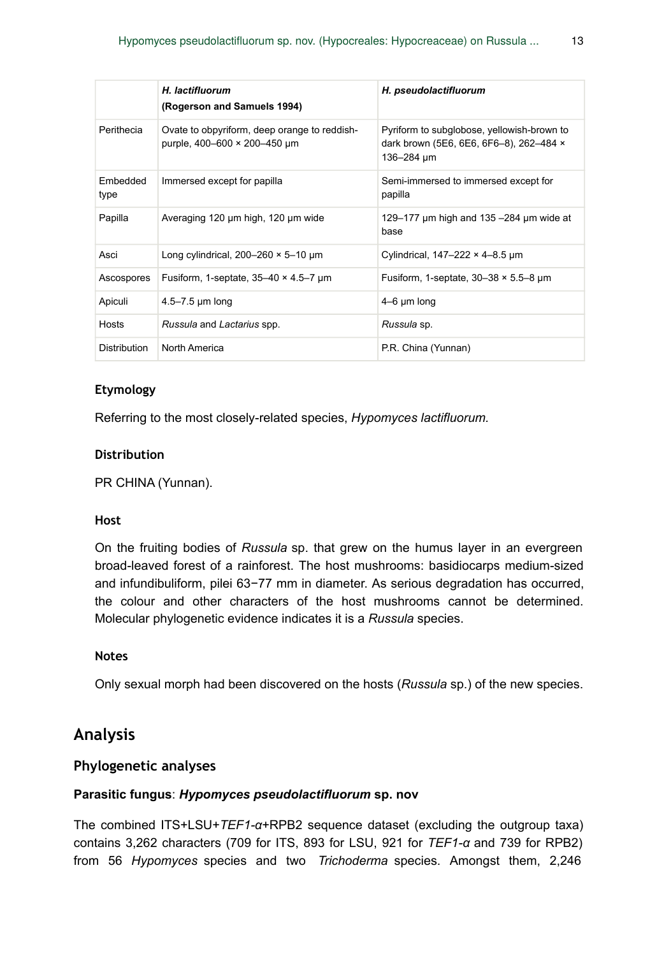|                  | H. lactifluorum<br>(Rogerson and Samuels 1994)                               | H. pseudolactifluorum                                                                               |
|------------------|------------------------------------------------------------------------------|-----------------------------------------------------------------------------------------------------|
| Perithecia       | Ovate to obpyriform, deep orange to reddish-<br>purple, 400-600 × 200-450 µm | Pyriform to subglobose, yellowish-brown to<br>dark brown (5E6, 6E6, 6F6-8), 262-484 x<br>136-284 um |
| Embedded<br>type | Immersed except for papilla                                                  | Semi-immersed to immersed except for<br>papilla                                                     |
| Papilla          | Averaging 120 µm high, 120 µm wide                                           | 129–177 $\mu$ m high and 135–284 $\mu$ m wide at<br>base                                            |
| Asci             | Long cylindrical, $200-260 \times 5-10 \mu m$                                | Cylindrical, $147-222 \times 4-8.5 \mu m$                                                           |
| Ascospores       | Fusiform, 1-septate, $35-40 \times 4.5-7$ um                                 | Fusiform, 1-septate, $30-38 \times 5.5-8 \mu m$                                                     |
| Apiculi          | 4.5 $-7.5$ µm long                                                           | $4-6 \mu m$ long                                                                                    |
| Hosts            | Russula and Lactarius spp.                                                   | Russula sp.                                                                                         |
| Distribution     | North America                                                                | P.R. China (Yunnan)                                                                                 |

## **Etymology**

Referring to the most closely-related species, *Hypomyces lactifluorum.*

#### **Distribution**

PR CHINA (Yunnan).

#### **Host**

On the fruiting bodies of *Russula* sp. that grew on the humus layer in an evergreen broad-leaved forest of a rainforest. The host mushrooms: basidiocarps medium-sized and infundibuliform, pilei 63−77 mm in diameter. As serious degradation has occurred, the colour and other characters of the host mushrooms cannot be determined. Molecular phylogenetic evidence indicates it is a *Russula* species.

### **Notes**

Only sexual morph had been discovered on the hosts (*Russula* sp.) of the new species.

# **Analysis**

### **Phylogenetic analyses**

### **Parasitic fungus**: *Hypomyces pseudolactifluorum* **sp. nov**

The combined ITS+LSU+*TEF1-α*+RPB2 sequence dataset (excluding the outgroup taxa) contains 3,262 characters (709 for ITS, 893 for LSU, 921 for *TEF1-α* and 739 for RPB2) from 56 *Hypomyces* species and two *Trichoderma* species. Amongst them, 2,246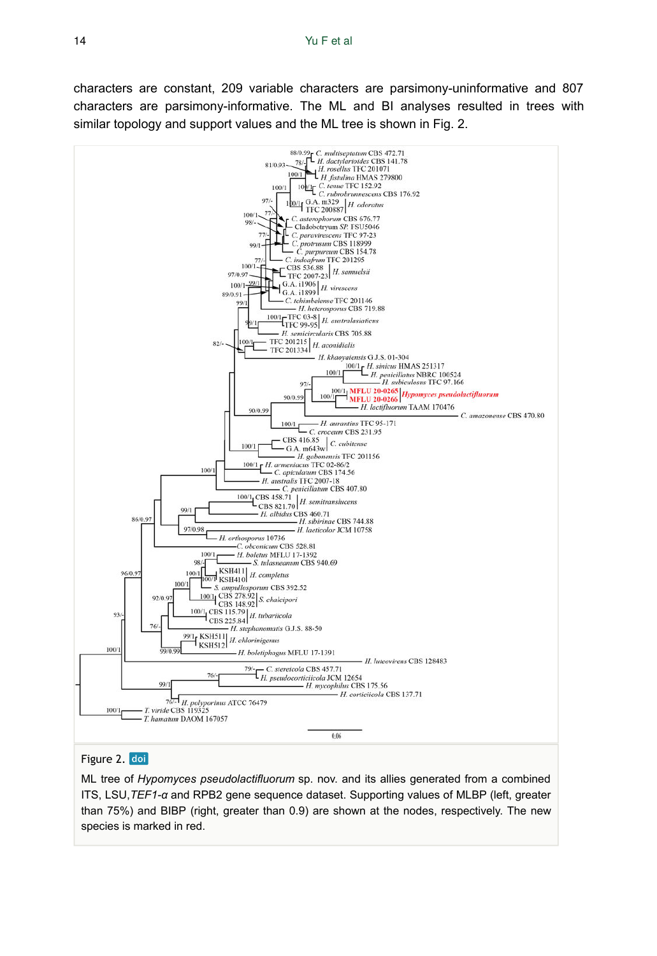characters are constant, 209 variable characters are parsimony-uninformative and 807 characters are parsimony-informative. The ML and BI analyses resulted in trees with similar topology and support values and the ML tree is shown in Fig. 2.



## Figure 2. doi

ML tree of *Hypomyces pseudolactifluorum* sp. nov. and its allies generated from a combined ITS, LSU,*TEF1-α* and RPB2 gene sequence dataset. Supporting values of MLBP (left, greater than 75%) and BIBP (right, greater than 0.9) are shown at the nodes, respectively. The new species is marked in red.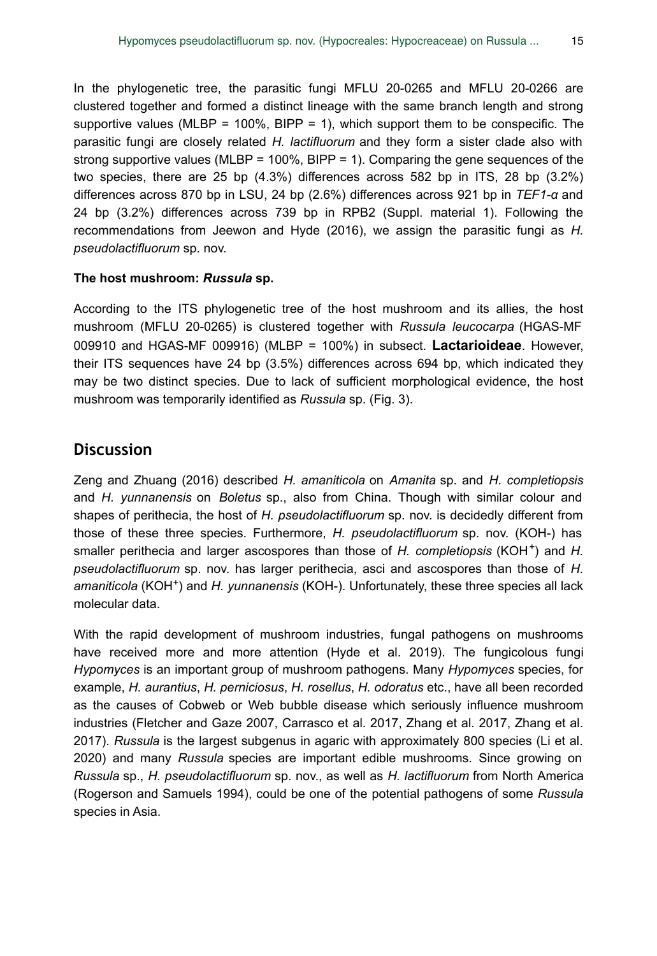In the phylogenetic tree, the parasitic fungi MFLU 20-0265 and MFLU 20-0266 are clustered together and formed a distinct lineage with the same branch length and strong supportive values (MLBP =  $100\%$ , BIPP = 1), which support them to be conspecific. The parasitic fungi are closely related *H. lactifluorum* and they form a sister clade also with strong supportive values (MLBP = 100%, BIPP = 1). Comparing the gene sequences of the two species, there are 25 bp (4.3%) differences across 582 bp in ITS, 28 bp (3.2%) differences across 870 bp in LSU, 24 bp (2.6%) differences across 921 bp in *TEF1-α* and 24 bp (3.2%) differences across 739 bp in RPB2 (Suppl. material 1). Following the recommendations from Jeewon and Hyde (2016), we assign the parasitic fungi as *H. pseudolactifluorum* sp. nov.

### **The host mushroom:** *Russula* **sp.**

According to the ITS phylogenetic tree of the host mushroom and its allies, the host mushroom (MFLU 20-0265) is clustered together with *Russula leucocarpa* (HGAS-MF 009910 and HGAS-MF 009916) (MLBP = 100%) in subsect. **Lactarioideae**. However, their ITS sequences have 24 bp (3.5%) differences across 694 bp, which indicated they may be two distinct species. Due to lack of sufficient morphological evidence, the host mushroom was temporarily identified as *Russula* sp. (Fig. 3).

# **Discussion**

Zeng and Zhuang (2016) described *H. amaniticola* on *Amanita* sp. and *H. completiopsis* and *H. yunnanensis* on *Boletus* sp., also from China. Though with similar colour and shapes of perithecia, the host of *H. pseudolactifluorum* sp. nov. is decidedly different from those of these three species. Furthermore, *H. pseudolactifluorum* sp. nov. (KOH-) has smaller perithecia and larger ascospores than those of H. completiopsis (KOH<sup>+</sup>) and H. *pseudolactifluorum* sp. nov. has larger perithecia, asci and ascospores than those of *H.*  amaniticola (KOH<sup>+</sup>) and H. yunnanensis (KOH-). Unfortunately, these three species all lack molecular data.

With the rapid development of mushroom industries, fungal pathogens on mushrooms have received more and more attention (Hyde et al. 2019). The fungicolous fungi *Hypomyces* is an important group of mushroom pathogens. Many *Hypomyces* species, for example, *H. aurantius*, *H. perniciosus*, *H. rosellus*, *H. odoratus* etc., have all been recorded as the causes of Cobweb or Web bubble disease which seriously influence mushroom industries (Fletcher and Gaze 2007, Carrasco et al. 2017, Zhang et al. 2017, Zhang et al. 2017). *Russula* is the largest subgenus in agaric with approximately 800 species (Li et al. 2020) and many *Russula* species are important edible mushrooms. Since growing on *Russula* sp., *H. pseudolactifluorum* sp. nov., as well as *H. lactifluorum* from North America (Rogerson and Samuels 1994), could be one of the potential pathogens of some *Russula* species in Asia.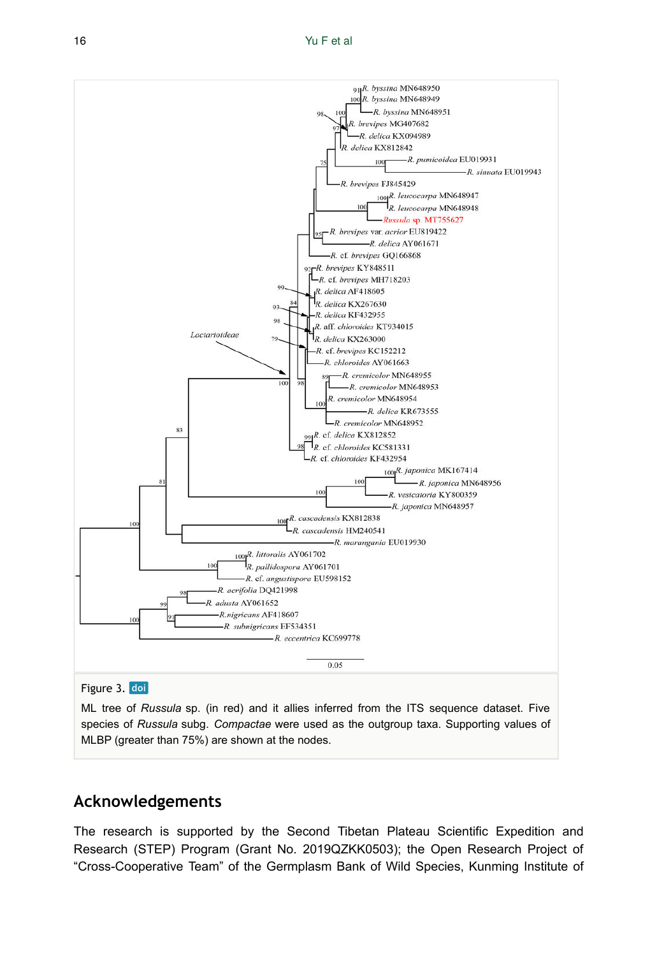

ML tree of *Russula* sp. (in red) and it allies inferred from the ITS sequence dataset. Five species of *Russula* subg. *Compactae* were used as the outgroup taxa. Supporting values of MLBP (greater than 75%) are shown at the nodes.

# **Acknowledgements**

The research is supported by the Second Tibetan Plateau Scientific Expedition and Research (STEP) Program (Grant No. 2019QZKK0503); the Open Research Project of "Cross-Cooperative Team" of the Germplasm Bank of Wild Species, Kunming Institute of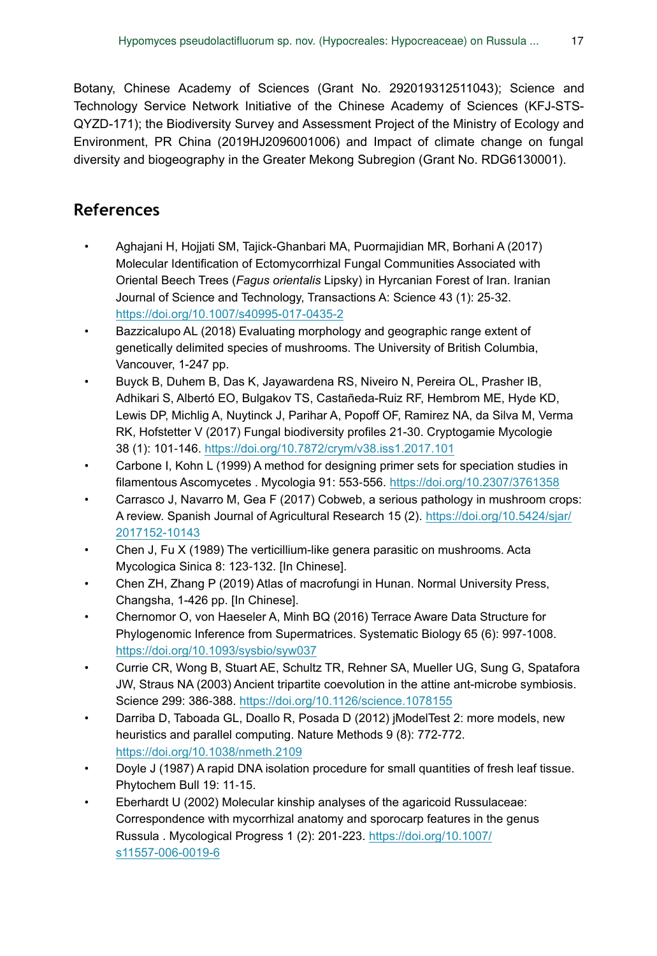Botany, Chinese Academy of Sciences (Grant No. 292019312511043); Science and Technology Service Network Initiative of the Chinese Academy of Sciences (KFJ-STS-QYZD-171); the Biodiversity Survey and Assessment Project of the Ministry of Ecology and Environment, PR China (2019HJ2096001006) and Impact of climate change on fungal diversity and biogeography in the Greater Mekong Subregion (Grant No. RDG6130001).

# **References**

- Aghajani H, Hojjati SM, Tajick-Ghanbari MA, Puormajidian MR, Borhani A (2017) Molecular Identification of Ectomycorrhizal Fungal Communities Associated with Oriental Beech Trees (*Fagus orientalis* Lipsky) in Hyrcanian Forest of Iran. Iranian Journal of Science and Technology, Transactions A: Science 43 (1): 25‑32. <https://doi.org/10.1007/s40995-017-0435-2>
- Bazzicalupo AL (2018) Evaluating morphology and geographic range extent of genetically delimited species of mushrooms. The University of British Columbia, Vancouver, 1-247 pp.
- Buyck B, Duhem B, Das K, Jayawardena RS, Niveiro N, Pereira OL, Prasher IB, Adhikari S, Albertó EO, Bulgakov TS, Castañeda-Ruiz RF, Hembrom ME, Hyde KD, Lewis DP, Michlig A, Nuytinck J, Parihar A, Popoff OF, Ramirez NA, da Silva M, Verma RK, Hofstetter V (2017) Fungal biodiversity profiles 21-30. Cryptogamie Mycologie 38 (1): 101‑146. <https://doi.org/10.7872/crym/v38.iss1.2017.101>
- Carbone I, Kohn L (1999) A method for designing primer sets for speciation studies in filamentous Ascomycetes . Mycologia 91: 553‑556.<https://doi.org/10.2307/3761358>
- Carrasco J, Navarro M, Gea F (2017) Cobweb, a serious pathology in mushroom crops: A review. Spanish Journal of Agricultural Research 15 (2). [https://doi.org/10.5424/sjar/](https://doi.org/10.5424/sjar/2017152-10143) [2017152-10143](https://doi.org/10.5424/sjar/2017152-10143)
- Chen J, Fu X (1989) The verticillium-like genera parasitic on mushrooms. Acta Mycologica Sinica 8: 123‑132. [In Chinese].
- Chen ZH, Zhang P (2019) Atlas of macrofungi in Hunan. Normal University Press, Changsha, 1-426 pp. [In Chinese].
- Chernomor O, von Haeseler A, Minh BQ (2016) Terrace Aware Data Structure for Phylogenomic Inference from Supermatrices. Systematic Biology 65 (6): 997‑1008. <https://doi.org/10.1093/sysbio/syw037>
- Currie CR, Wong B, Stuart AE, Schultz TR, Rehner SA, Mueller UG, Sung G, Spatafora JW, Straus NA (2003) Ancient tripartite coevolution in the attine ant-microbe symbiosis. Science 299: 386‑388.<https://doi.org/10.1126/science.1078155>
- Darriba D, Taboada GL, Doallo R, Posada D (2012) jModelTest 2: more models, new heuristics and parallel computing. Nature Methods 9 (8): 772‑772. <https://doi.org/10.1038/nmeth.2109>
- Doyle J (1987) A rapid DNA isolation procedure for small quantities of fresh leaf tissue. Phytochem Bull 19: 11‑15.
- Eberhardt U (2002) Molecular kinship analyses of the agaricoid Russulaceae: Correspondence with mycorrhizal anatomy and sporocarp features in the genus Russula . Mycological Progress 1 (2): 201‑223. [https://doi.org/10.1007/](https://doi.org/10.1007/s11557-006-0019-6) [s11557-006-0019-6](https://doi.org/10.1007/s11557-006-0019-6)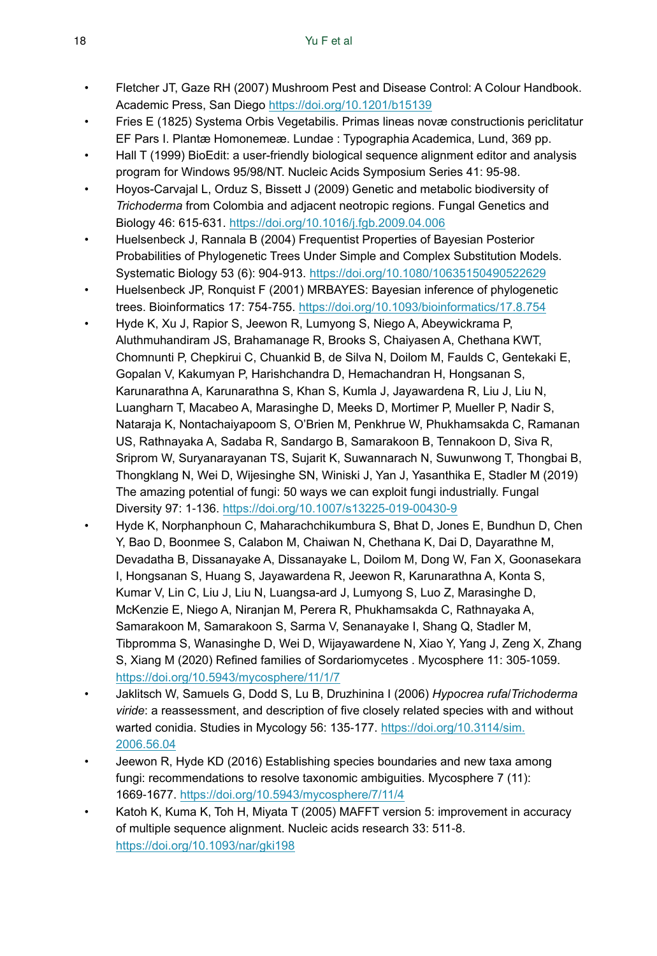- Fletcher JT, Gaze RH (2007) Mushroom Pest and Disease Control: A Colour Handbook. Academic Press, San Diego<https://doi.org/10.1201/b15139>
- Fries E (1825) Systema Orbis Vegetabilis. Primas lineas novæ constructionis periclitatur EF Pars I. Plantæ Homonemeæ. Lundae : Typographia Academica, Lund, 369 pp.
- Hall T (1999) BioEdit: a user-friendly biological sequence alignment editor and analysis program for Windows 95/98/NT. Nucleic Acids Symposium Series 41: 95‑98.
- Hoyos-Carvajal L, Orduz S, Bissett J (2009) Genetic and metabolic biodiversity of *Trichoderma* from Colombia and adjacent neotropic regions. Fungal Genetics and Biology 46: 615‑631.<https://doi.org/10.1016/j.fgb.2009.04.006>
- Huelsenbeck J, Rannala B (2004) Frequentist Properties of Bayesian Posterior Probabilities of Phylogenetic Trees Under Simple and Complex Substitution Models. Systematic Biology 53 (6): 904‑913.<https://doi.org/10.1080/10635150490522629>
- Huelsenbeck JP, Ronquist F (2001) MRBAYES: Bayesian inference of phylogenetic trees. Bioinformatics 17: 754‑755. <https://doi.org/10.1093/bioinformatics/17.8.754>
- Hyde K, Xu J, Rapior S, Jeewon R, Lumyong S, Niego A, Abeywickrama P, Aluthmuhandiram JS, Brahamanage R, Brooks S, Chaiyasen A, Chethana KWT, Chomnunti P, Chepkirui C, Chuankid B, de Silva N, Doilom M, Faulds C, Gentekaki E, Gopalan V, Kakumyan P, Harishchandra D, Hemachandran H, Hongsanan S, Karunarathna A, Karunarathna S, Khan S, Kumla J, Jayawardena R, Liu J, Liu N, Luangharn T, Macabeo A, Marasinghe D, Meeks D, Mortimer P, Mueller P, Nadir S, Nataraja K, Nontachaiyapoom S, O'Brien M, Penkhrue W, Phukhamsakda C, Ramanan US, Rathnayaka A, Sadaba R, Sandargo B, Samarakoon B, Tennakoon D, Siva R, Sriprom W, Suryanarayanan TS, Sujarit K, Suwannarach N, Suwunwong T, Thongbai B, Thongklang N, Wei D, Wijesinghe SN, Winiski J, Yan J, Yasanthika E, Stadler M (2019) The amazing potential of fungi: 50 ways we can exploit fungi industrially. Fungal Diversity 97: 1‑136.<https://doi.org/10.1007/s13225-019-00430-9>
- Hyde K, Norphanphoun C, Maharachchikumbura S, Bhat D, Jones E, Bundhun D, Chen Y, Bao D, Boonmee S, Calabon M, Chaiwan N, Chethana K, Dai D, Dayarathne M, Devadatha B, Dissanayake A, Dissanayake L, Doilom M, Dong W, Fan X, Goonasekara I, Hongsanan S, Huang S, Jayawardena R, Jeewon R, Karunarathna A, Konta S, Kumar V, Lin C, Liu J, Liu N, Luangsa-ard J, Lumyong S, Luo Z, Marasinghe D, McKenzie E, Niego A, Niranjan M, Perera R, Phukhamsakda C, Rathnayaka A, Samarakoon M, Samarakoon S, Sarma V, Senanayake I, Shang Q, Stadler M, Tibpromma S, Wanasinghe D, Wei D, Wijayawardene N, Xiao Y, Yang J, Zeng X, Zhang S, Xiang M (2020) Refined families of Sordariomycetes . Mycosphere 11: 305-1059. <https://doi.org/10.5943/mycosphere/11/1/7>
- Jaklitsch W, Samuels G, Dodd S, Lu B, Druzhinina I (2006) *Hypocrea rufa*/*Trichoderma viride*: a reassessment, and description of five closely related species with and without warted conidia. Studies in Mycology 56: 135-177. [https://doi.org/10.3114/sim.](https://doi.org/10.3114/sim.2006.56.04) [2006.56.04](https://doi.org/10.3114/sim.2006.56.04)
- Jeewon R, Hyde KD (2016) Establishing species boundaries and new taxa among fungi: recommendations to resolve taxonomic ambiguities. Mycosphere 7 (11): 1669‑1677.<https://doi.org/10.5943/mycosphere/7/11/4>
- Katoh K, Kuma K, Toh H, Miyata T (2005) MAFFT version 5: improvement in accuracy of multiple sequence alignment. Nucleic acids research 33: 511‑8. <https://doi.org/10.1093/nar/gki198>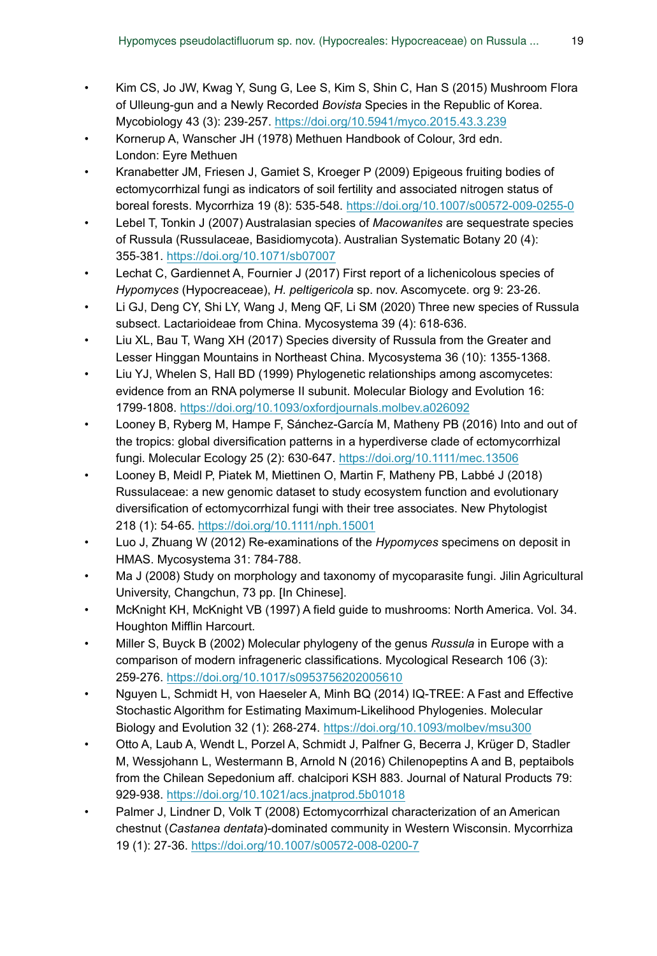- Kim CS, Jo JW, Kwag Y, Sung G, Lee S, Kim S, Shin C, Han S (2015) Mushroom Flora of Ulleung-gun and a Newly Recorded *Bovista* Species in the Republic of Korea. Mycobiology 43 (3): 239‑257. <https://doi.org/10.5941/myco.2015.43.3.239>
- Kornerup A, Wanscher JH (1978) Methuen Handbook of Colour, 3rd edn. London: Eyre Methuen
- Kranabetter JM, Friesen J, Gamiet S, Kroeger P (2009) Epigeous fruiting bodies of ectomycorrhizal fungi as indicators of soil fertility and associated nitrogen status of boreal forests. Mycorrhiza 19 (8): 535‑548.<https://doi.org/10.1007/s00572-009-0255-0>
- Lebel T, Tonkin J (2007) Australasian species of *Macowanites* are sequestrate species of Russula (Russulaceae, Basidiomycota). Australian Systematic Botany 20 (4): 355‑381. <https://doi.org/10.1071/sb07007>
- Lechat C, Gardiennet A, Fournier J (2017) First report of a lichenicolous species of *Hypomyces* (Hypocreaceae), *H. peltigericola* sp. nov. Ascomycete. org 9: 23‑26.
- Li GJ, Deng CY, Shi LY, Wang J, Meng QF, Li SM (2020) Three new species of Russula subsect. Lactarioideae from China. Mycosystema 39 (4): 618-636.
- Liu XL, Bau T, Wang XH (2017) Species diversity of Russula from the Greater and Lesser Hinggan Mountains in Northeast China. Mycosystema 36 (10): 1355-1368.
- Liu YJ, Whelen S, Hall BD (1999) Phylogenetic relationships among ascomycetes: evidence from an RNA polymerse II subunit. Molecular Biology and Evolution 16: 1799‑1808.<https://doi.org/10.1093/oxfordjournals.molbev.a026092>
- Looney B, Ryberg M, Hampe F, Sánchez-García M, Matheny PB (2016) Into and out of the tropics: global diversification patterns in a hyperdiverse clade of ectomycorrhizal fungi. Molecular Ecology 25 (2): 630‑647.<https://doi.org/10.1111/mec.13506>
- Looney B, Meidl P, Piatek M, Miettinen O, Martin F, Matheny PB, Labbé J (2018) Russulaceae: a new genomic dataset to study ecosystem function and evolutionary diversification of ectomycorrhizal fungi with their tree associates. New Phytologist 218 (1): 54‑65. <https://doi.org/10.1111/nph.15001>
- Luo J, Zhuang W (2012) Re-examinations of the *Hypomyces* specimens on deposit in HMAS. Mycosystema 31: 784‑788.
- Ma J (2008) Study on morphology and taxonomy of mycoparasite fungi. Jilin Agricultural University, Changchun, 73 pp. [In Chinese].
- McKnight KH, McKnight VB (1997) A field guide to mushrooms: North America. Vol. 34. Houghton Mifflin Harcourt.
- Miller S, Buyck B (2002) Molecular phylogeny of the genus *Russula* in Europe with a comparison of modern infrageneric classifications. Mycological Research 106 (3): 259‑276. <https://doi.org/10.1017/s0953756202005610>
- Nguyen L, Schmidt H, von Haeseler A, Minh BQ (2014) IQ-TREE: A Fast and Effective Stochastic Algorithm for Estimating Maximum-Likelihood Phylogenies. Molecular Biology and Evolution 32 (1): 268‑274.<https://doi.org/10.1093/molbev/msu300>
- Otto A, Laub A, Wendt L, Porzel A, Schmidt J, Palfner G, Becerra J, Krüger D, Stadler M, Wessjohann L, Westermann B, Arnold N (2016) Chilenopeptins A and B, peptaibols from the Chilean Sepedonium aff. chalcipori KSH 883. Journal of Natural Products 79: 929‑938. <https://doi.org/10.1021/acs.jnatprod.5b01018>
- Palmer J, Lindner D, Volk T (2008) Ectomycorrhizal characterization of an American chestnut (*Castanea dentata*)-dominated community in Western Wisconsin. Mycorrhiza 19 (1): 27‑36.<https://doi.org/10.1007/s00572-008-0200-7>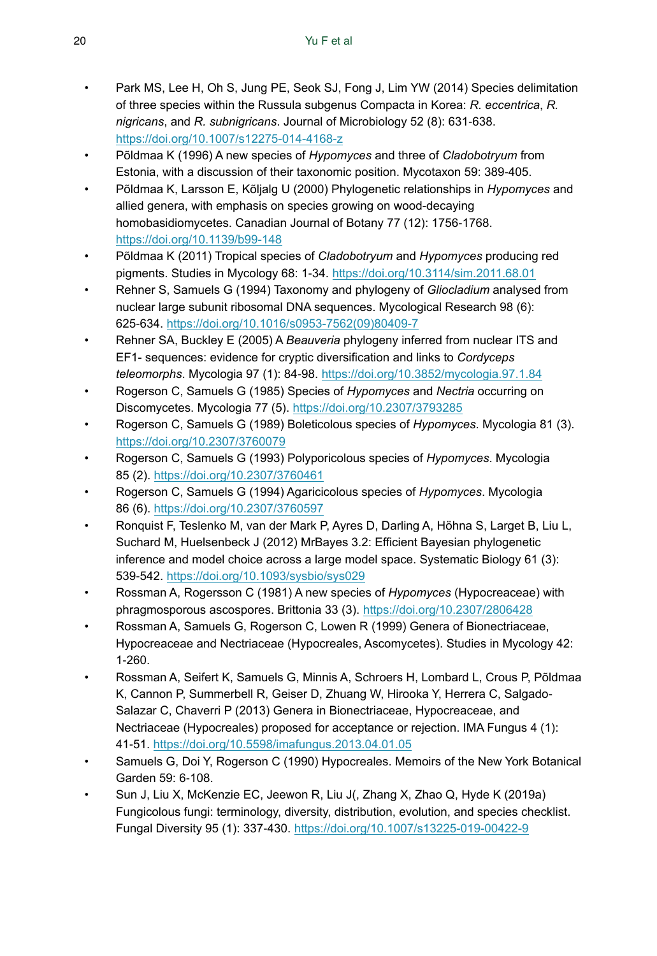- Park MS, Lee H, Oh S, Jung PE, Seok SJ, Fong J, Lim YW (2014) Species delimitation of three species within the Russula subgenus Compacta in Korea: *R. eccentrica*, *R. nigricans*, and *R. subnigricans*. Journal of Microbiology 52 (8): 631‑638. <https://doi.org/10.1007/s12275-014-4168-z>
- Põldmaa K (1996) A new species of *Hypomyces* and three of *Cladobotryum* from Estonia, with a discussion of their taxonomic position. Mycotaxon 59: 389‑405.
- Põldmaa K, Larsson E, Kõljalg U (2000) Phylogenetic relationships in *Hypomyces* and allied genera, with emphasis on species growing on wood-decaying homobasidiomycetes. Canadian Journal of Botany 77 (12): 1756-1768. <https://doi.org/10.1139/b99-148>
- Põldmaa K (2011) Tropical species of *Cladobotryum* and *Hypomyces* producing red pigments. Studies in Mycology 68: 1‑34.<https://doi.org/10.3114/sim.2011.68.01>
- Rehner S, Samuels G (1994) Taxonomy and phylogeny of *Gliocladium* analysed from nuclear large subunit ribosomal DNA sequences. Mycological Research 98 (6): 625‑634. [https://doi.org/10.1016/s0953-7562\(09\)80409-7](https://doi.org/10.1016/s0953-7562(09)80409-7)
- Rehner SA, Buckley E (2005) A *Beauveria* phylogeny inferred from nuclear ITS and EF1- sequences: evidence for cryptic diversification and links to *Cordyceps teleomorphs*. Mycologia 97 (1): 84‑98. <https://doi.org/10.3852/mycologia.97.1.84>
- Rogerson C, Samuels G (1985) Species of *Hypomyces* and *Nectria* occurring on Discomycetes. Mycologia 77 (5).<https://doi.org/10.2307/3793285>
- Rogerson C, Samuels G (1989) Boleticolous species of *Hypomyces*. Mycologia 81 (3). <https://doi.org/10.2307/3760079>
- Rogerson C, Samuels G (1993) Polyporicolous species of *Hypomyces*. Mycologia 85 (2). <https://doi.org/10.2307/3760461>
- Rogerson C, Samuels G (1994) Agaricicolous species of *Hypomyces*. Mycologia 86 (6). <https://doi.org/10.2307/3760597>
- Ronquist F, Teslenko M, van der Mark P, Ayres D, Darling A, Höhna S, Larget B, Liu L, Suchard M, Huelsenbeck J (2012) MrBayes 3.2: Efficient Bayesian phylogenetic inference and model choice across a large model space. Systematic Biology 61 (3): 539‑542. <https://doi.org/10.1093/sysbio/sys029>
- Rossman A, Rogersson C (1981) A new species of *Hypomyces* (Hypocreaceae) with phragmosporous ascospores. Brittonia 33 (3).<https://doi.org/10.2307/2806428>
- Rossman A, Samuels G, Rogerson C, Lowen R (1999) Genera of Bionectriaceae, Hypocreaceae and Nectriaceae (Hypocreales, Ascomycetes). Studies in Mycology 42: 1‑260.
- Rossman A, Seifert K, Samuels G, Minnis A, Schroers H, Lombard L, Crous P, Põldmaa K, Cannon P, Summerbell R, Geiser D, Zhuang W, Hirooka Y, Herrera C, Salgado-Salazar C, Chaverri P (2013) Genera in Bionectriaceae, Hypocreaceae, and Nectriaceae (Hypocreales) proposed for acceptance or rejection. IMA Fungus 4 (1): 41‑51.<https://doi.org/10.5598/imafungus.2013.04.01.05>
- Samuels G, Doi Y, Rogerson C (1990) Hypocreales. Memoirs of the New York Botanical Garden 59: 6‑108.
- Sun J, Liu X, McKenzie EC, Jeewon R, Liu J(, Zhang X, Zhao Q, Hyde K (2019a) Fungicolous fungi: terminology, diversity, distribution, evolution, and species checklist. Fungal Diversity 95 (1): 337‑430.<https://doi.org/10.1007/s13225-019-00422-9>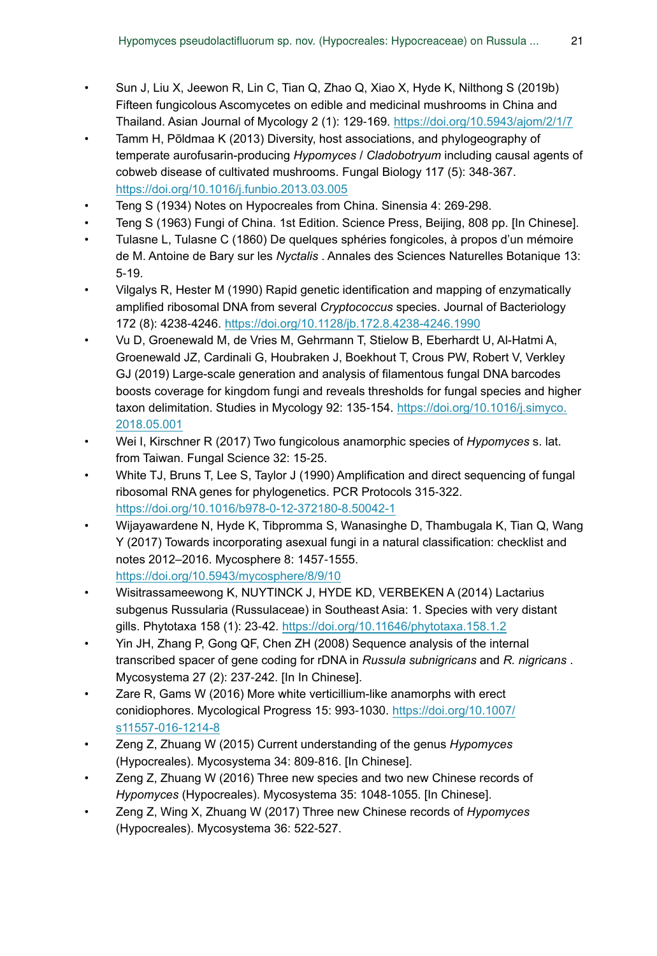- Sun J, Liu X, Jeewon R, Lin C, Tian Q, Zhao Q, Xiao X, Hyde K, Nilthong S (2019b) Fifteen fungicolous Ascomycetes on edible and medicinal mushrooms in China and Thailand. Asian Journal of Mycology 2 (1): 129‑169.<https://doi.org/10.5943/ajom/2/1/7>
- Tamm H, Põldmaa K (2013) Diversity, host associations, and phylogeography of temperate aurofusarin-producing *Hypomyces* / *Cladobotryum* including causal agents of cobweb disease of cultivated mushrooms. Fungal Biology 117 (5): 348‑367. <https://doi.org/10.1016/j.funbio.2013.03.005>
- Teng S (1934) Notes on Hypocreales from China. Sinensia 4: 269-298.
- Teng S (1963) Fungi of China. 1st Edition. Science Press, Beijing, 808 pp. [In Chinese].
- Tulasne L, Tulasne C (1860) De quelques sphéries fongicoles, à propos d'un mémoire de M. Antoine de Bary sur les *Nyctalis* . Annales des Sciences Naturelles Botanique 13: 5‑19.
- Vilgalys R, Hester M (1990) Rapid genetic identification and mapping of enzymatically amplified ribosomal DNA from several *Cryptococcus* species. Journal of Bacteriology 172 (8): 4238‑4246. <https://doi.org/10.1128/jb.172.8.4238-4246.1990>
- Vu D, Groenewald M, de Vries M, Gehrmann T, Stielow B, Eberhardt U, Al-Hatmi A, Groenewald JZ, Cardinali G, Houbraken J, Boekhout T, Crous PW, Robert V, Verkley GJ (2019) Large-scale generation and analysis of filamentous fungal DNA barcodes boosts coverage for kingdom fungi and reveals thresholds for fungal species and higher taxon delimitation. Studies in Mycology 92: 135-154. [https://doi.org/10.1016/j.simyco.](https://doi.org/10.1016/j.simyco.2018.05.001) [2018.05.001](https://doi.org/10.1016/j.simyco.2018.05.001)
- Wei I, Kirschner R (2017) Two fungicolous anamorphic species of *Hypomyces* s. lat. from Taiwan. Fungal Science 32: 15‑25.
- White TJ, Bruns T, Lee S, Taylor J (1990) Amplification and direct sequencing of fungal ribosomal RNA genes for phylogenetics. PCR Protocols 315‑322. <https://doi.org/10.1016/b978-0-12-372180-8.50042-1>
- Wijayawardene N, Hyde K, Tibpromma S, Wanasinghe D, Thambugala K, Tian Q, Wang Y (2017) Towards incorporating asexual fungi in a natural classification: checklist and notes 2012–2016. Mycosphere 8: 1457‑1555. <https://doi.org/10.5943/mycosphere/8/9/10>
- Wisitrassameewong K, NUYTINCK J, HYDE KD, VERBEKEN A (2014) Lactarius subgenus Russularia (Russulaceae) in Southeast Asia: 1. Species with very distant gills. Phytotaxa 158 (1): 23‑42. <https://doi.org/10.11646/phytotaxa.158.1.2>
- Yin JH, Zhang P, Gong QF, Chen ZH (2008) Sequence analysis of the internal transcribed spacer of gene coding for rDNA in *Russula subnigricans* and *R. nigricans* . Mycosystema 27 (2): 237‑242. [In In Chinese].
- Zare R, Gams W (2016) More white verticillium-like anamorphs with erect conidiophores. Mycological Progress 15: 993-1030. [https://doi.org/10.1007/](https://doi.org/10.1007/s11557-016-1214-8) [s11557-016-1214-8](https://doi.org/10.1007/s11557-016-1214-8)
- Zeng Z, Zhuang W (2015) Current understanding of the genus *Hypomyces* (Hypocreales). Mycosystema 34: 809‑816. [In Chinese].
- Zeng Z, Zhuang W (2016) Three new species and two new Chinese records of *Hypomyces* (Hypocreales). Mycosystema 35: 1048‑1055. [In Chinese].
- Zeng Z, Wing X, Zhuang W (2017) Three new Chinese records of *Hypomyces* (Hypocreales). Mycosystema 36: 522‑527.